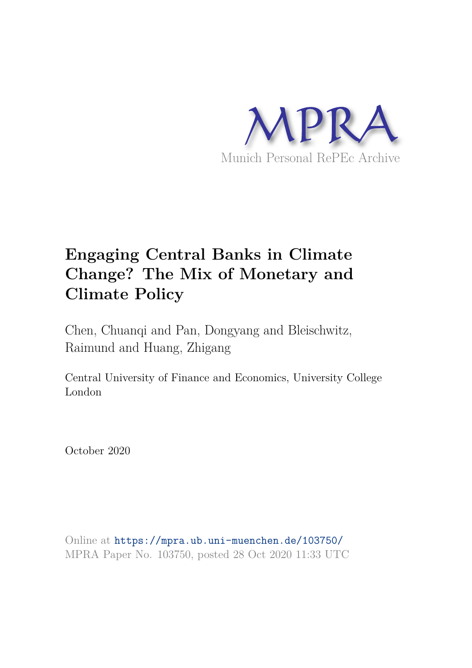

# **Engaging Central Banks in Climate Change? The Mix of Monetary and Climate Policy**

Chen, Chuanqi and Pan, Dongyang and Bleischwitz, Raimund and Huang, Zhigang

Central University of Finance and Economics, University College London

October 2020

Online at https://mpra.ub.uni-muenchen.de/103750/ MPRA Paper No. 103750, posted 28 Oct 2020 11:33 UTC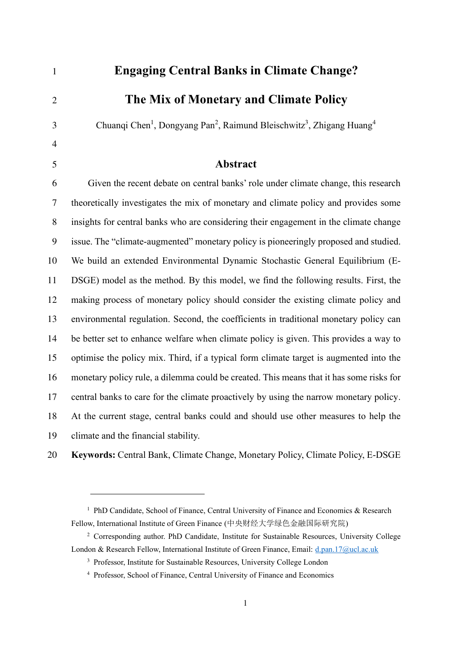| $\mathbf{1}$   | <b>Engaging Central Banks in Climate Change?</b>                                                                      |
|----------------|-----------------------------------------------------------------------------------------------------------------------|
| $\overline{2}$ | The Mix of Monetary and Climate Policy                                                                                |
| 3              | Chuanqi Chen <sup>1</sup> , Dongyang Pan <sup>2</sup> , Raimund Bleischwitz <sup>3</sup> , Zhigang Huang <sup>4</sup> |
| $\overline{4}$ |                                                                                                                       |
| 5              | <b>Abstract</b>                                                                                                       |
| 6              | Given the recent debate on central banks' role under climate change, this research                                    |
| 7              | theoretically investigates the mix of monetary and climate policy and provides some                                   |
| 8              | insights for central banks who are considering their engagement in the climate change                                 |
| 9              | issue. The "climate-augmented" monetary policy is pioneeringly proposed and studied.                                  |
| 10             | We build an extended Environmental Dynamic Stochastic General Equilibrium (E-                                         |
| 11             | DSGE) model as the method. By this model, we find the following results. First, the                                   |
| 12             | making process of monetary policy should consider the existing climate policy and                                     |
| 13             | environmental regulation. Second, the coefficients in traditional monetary policy can                                 |
| 14             | be better set to enhance welfare when climate policy is given. This provides a way to                                 |
| 15             | optimise the policy mix. Third, if a typical form climate target is augmented into the                                |
| 16             | monetary policy rule, a dilemma could be created. This means that it has some risks for                               |
| 17             | central banks to care for the climate proactively by using the narrow monetary policy.                                |
| 18             | At the current stage, central banks could and should use other measures to help the                                   |
| 19             | climate and the financial stability.                                                                                  |
| ົດ             | Verwende Centrel Deule Climate Change, Mausteur Deliev, Climate Deliev, E. DOCE                                       |

**Keywords:** Central Bank, Climate Change, Monetary Policy, Climate Policy, E-DSGE

<sup>&</sup>lt;sup>1</sup> PhD Candidate, School of Finance, Central University of Finance and Economics & Research Fellow, International Institute of Green Finance (中央财经大学绿色金融国际研究院)

<sup>&</sup>lt;sup>2</sup> Corresponding author. PhD Candidate, Institute for Sustainable Resources, University College London & Research Fellow, International Institute of Green Finance, Email: [d.pan.17@ucl.ac.uk](mailto:d.pan.17@ucl.ac.uk)

<sup>&</sup>lt;sup>3</sup> Professor, Institute for Sustainable Resources, University College London

Professor, School of Finance, Central University of Finance and Economics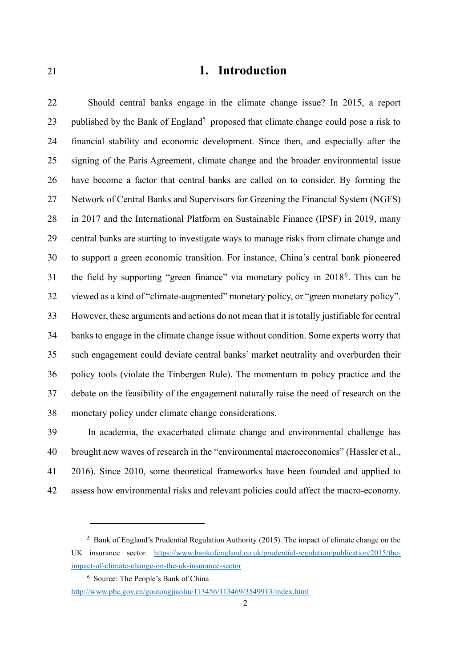## **1. Introduction**

Should central banks engage in the climate change issue? In 2015, a report 23 published by the Bank of England<sup>5</sup> proposed that climate change could pose a risk to financial stability and economic development. Since then, and especially after the signing of the Paris Agreement, climate change and the broader environmental issue have become a factor that central banks are called on to consider. By forming the Network of Central Banks and Supervisors for Greening the Financial System (NGFS) in 2017 and the International Platform on Sustainable Finance (IPSF) in 2019, many central banks are starting to investigate ways to manage risks from climate change and to support a green economic transition. For instance, China's central bank pioneered 31 the field by supporting "green finance" via monetary policy in 2018<sup>6</sup>. This can be viewed as a kind of "climate-augmented" monetary policy, or "green monetary policy". However, these arguments and actions do not mean that it is totally justifiable for central banks to engage in the climate change issue without condition. Some experts worry that such engagement could deviate central banks' market neutrality and overburden their policy tools (violate the Tinbergen Rule). The momentum in policy practice and the debate on the feasibility of the engagement naturally raise the need of research on the monetary policy under climate change considerations.

In academia, the exacerbated climate change and environmental challenge has brought new waves of research in the "environmental macroeconomics" (Hassler et al., 2016). Since 2010, some theoretical frameworks have been founded and applied to assess how environmental risks and relevant policies could affect the macro-economy.

<sup>&</sup>lt;sup>5</sup> Bank of England's Prudential Regulation Authority (2015). The impact of climate change on the UK insurance sector. [https://www.bankofengland.co.uk/prudential-regulation/publication/2015/the](https://www.bankofengland.co.uk/prudential-regulation/publication/2015/the-impact-of-climate-change-on-the-uk-insurance-sector)[impact-of-climate-change-on-the-uk-insurance-sector](https://www.bankofengland.co.uk/prudential-regulation/publication/2015/the-impact-of-climate-change-on-the-uk-insurance-sector)

Source: The People's Bank of China

<http://www.pbc.gov.cn/goutongjiaoliu/113456/113469/3549913/index.html>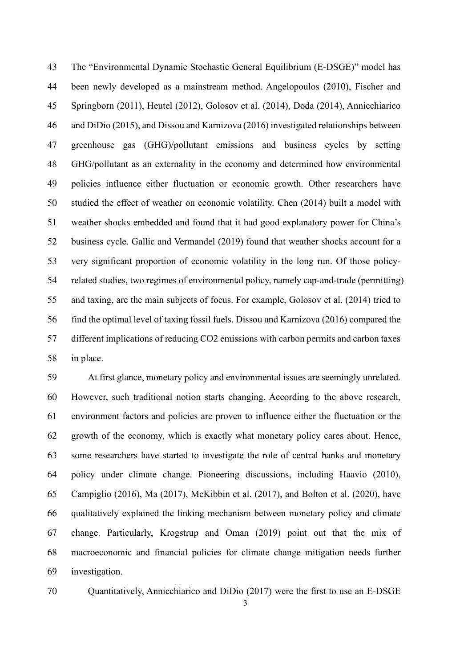The "Environmental Dynamic Stochastic General Equilibrium (E-DSGE)" model has been newly developed as a mainstream method. Angelopoulos (2010), Fischer and Springborn (2011), Heutel (2012), Golosov et al. (2014), Doda (2014), Annicchiarico and DiDio (2015), and Dissou and Karnizova (2016) investigated relationships between greenhouse gas (GHG)/pollutant emissions and business cycles by setting GHG/pollutant as an externality in the economy and determined how environmental policies influence either fluctuation or economic growth. Other researchers have studied the effect of weather on economic volatility. Chen (2014) built a model with weather shocks embedded and found that it had good explanatory power for China's business cycle. Gallic and Vermandel (2019) found that weather shocks account for a very significant proportion of economic volatility in the long run. Of those policy-related studies, two regimes of environmental policy, namely cap-and-trade (permitting) and taxing, are the main subjects of focus. For example, Golosov et al. (2014) tried to find the optimal level of taxing fossil fuels. Dissou and Karnizova (2016) compared the different implications of reducing CO2 emissions with carbon permits and carbon taxes in place.

At first glance, monetary policy and environmental issues are seemingly unrelated. However, such traditional notion starts changing. According to the above research, environment factors and policies are proven to influence either the fluctuation or the growth of the economy, which is exactly what monetary policy cares about. Hence, some researchers have started to investigate the role of central banks and monetary policy under climate change. Pioneering discussions, including Haavio (2010), Campiglio (2016), Ma (2017), McKibbin et al. (2017), and Bolton et al. (2020), have qualitatively explained the linking mechanism between monetary policy and climate change. Particularly, Krogstrup and Oman (2019) point out that the mix of macroeconomic and financial policies for climate change mitigation needs further investigation.

Quantitatively, Annicchiarico and DiDio (2017) were the first to use an E-DSGE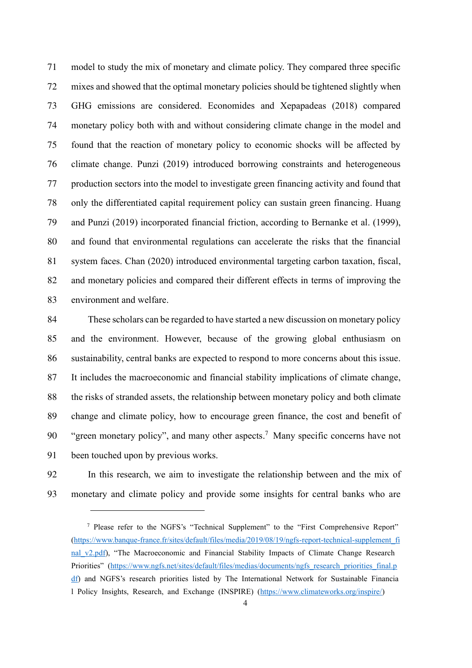model to study the mix of monetary and climate policy. They compared three specific mixes and showed that the optimal monetary policies should be tightened slightly when GHG emissions are considered. Economides and Xepapadeas (2018) compared monetary policy both with and without considering climate change in the model and found that the reaction of monetary policy to economic shocks will be affected by climate change. Punzi (2019) introduced borrowing constraints and heterogeneous production sectors into the model to investigate green financing activity and found that only the differentiated capital requirement policy can sustain green financing. Huang and Punzi (2019) incorporated financial friction, according to Bernanke et al. (1999), and found that environmental regulations can accelerate the risks that the financial system faces. Chan (2020) introduced environmental targeting carbon taxation, fiscal, and monetary policies and compared their different effects in terms of improving the environment and welfare.

These scholars can be regarded to have started a new discussion on monetary policy and the environment. However, because of the growing global enthusiasm on sustainability, central banks are expected to respond to more concerns about this issue. It includes the macroeconomic and financial stability implications of climate change, the risks of stranded assets, the relationship between monetary policy and both climate change and climate policy, how to encourage green finance, the cost and benefit of 90 "green monetary policy", and many other aspects.<sup>7</sup> Many specific concerns have not been touched upon by previous works.

In this research, we aim to investigate the relationship between and the mix of monetary and climate policy and provide some insights for central banks who are

 Please refer to the NGFS's "Technical Supplement" to the "First Comprehensive Report" [\(https://www.banque-france.fr/sites/default/files/media/2019/08/19/ngfs-report-technical-supplement\\_fi](https://www.banque-france.fr/sites/default/files/media/2019/08/19/ngfs-report-technical-supplement_final_v2.pdf) nal v2.pdf), "The Macroeconomic and Financial Stability Impacts of Climate Change Research Priorities" [\(https://www.ngfs.net/sites/default/files/medias/documents/ngfs\\_research\\_priorities\\_final.p](https://www.ngfs.net/sites/default/files/medias/documents/ngfs_research_priorities_final.pdf) [df\)](https://www.ngfs.net/sites/default/files/medias/documents/ngfs_research_priorities_final.pdf) and NGFS's research priorities listed by The International Network for Sustainable Financia l Policy Insights, Research, and Exchange (INSPIRE) [\(https://www.climateworks.org/inspire/\)](https://www.climateworks.org/inspire/)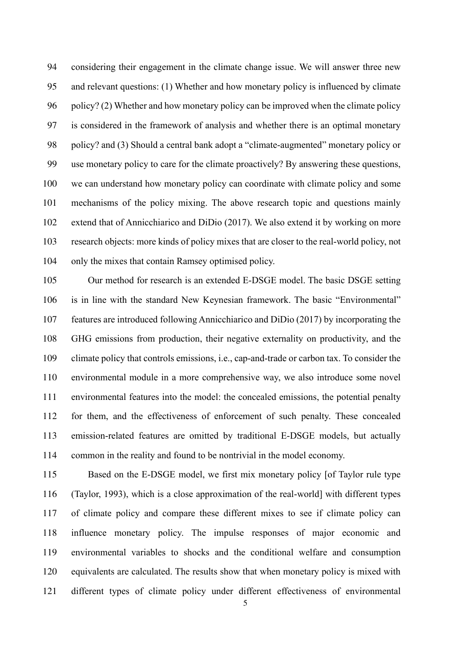considering their engagement in the climate change issue. We will answer three new and relevant questions: (1) Whether and how monetary policy is influenced by climate policy? (2) Whether and how monetary policy can be improved when the climate policy is considered in the framework of analysis and whether there is an optimal monetary policy? and (3) Should a central bank adopt a "climate-augmented" monetary policy or use monetary policy to care for the climate proactively? By answering these questions, we can understand how monetary policy can coordinate with climate policy and some mechanisms of the policy mixing. The above research topic and questions mainly extend that of Annicchiarico and DiDio (2017). We also extend it by working on more research objects: more kinds of policy mixes that are closer to the real-world policy, not only the mixes that contain Ramsey optimised policy.

Our method for research is an extended E-DSGE model. The basic DSGE setting is in line with the standard New Keynesian framework. The basic "Environmental" features are introduced following Annicchiarico and DiDio (2017) by incorporating the GHG emissions from production, their negative externality on productivity, and the climate policy that controls emissions, i.e., cap-and-trade or carbon tax. To consider the environmental module in a more comprehensive way, we also introduce some novel environmental features into the model: the concealed emissions, the potential penalty for them, and the effectiveness of enforcement of such penalty. These concealed emission-related features are omitted by traditional E-DSGE models, but actually common in the reality and found to be nontrivial in the model economy.

Based on the E-DSGE model, we first mix monetary policy [of Taylor rule type (Taylor, 1993), which is a close approximation of the real-world] with different types of climate policy and compare these different mixes to see if climate policy can influence monetary policy. The impulse responses of major economic and environmental variables to shocks and the conditional welfare and consumption equivalents are calculated. The results show that when monetary policy is mixed with different types of climate policy under different effectiveness of environmental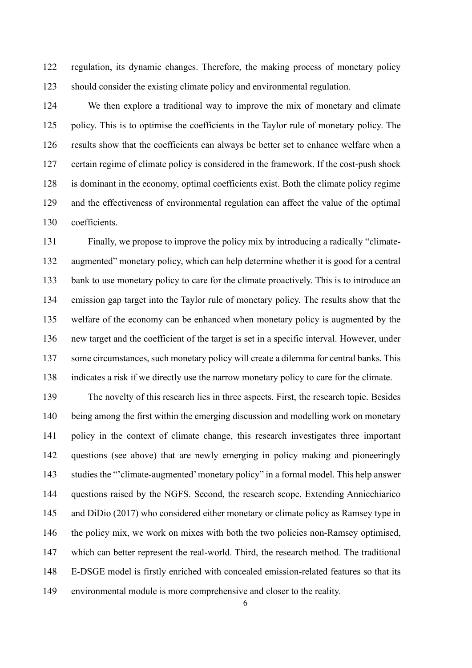regulation, its dynamic changes. Therefore, the making process of monetary policy should consider the existing climate policy and environmental regulation.

We then explore a traditional way to improve the mix of monetary and climate policy. This is to optimise the coefficients in the Taylor rule of monetary policy. The results show that the coefficients can always be better set to enhance welfare when a certain regime of climate policy is considered in the framework. If the cost-push shock is dominant in the economy, optimal coefficients exist. Both the climate policy regime and the effectiveness of environmental regulation can affect the value of the optimal coefficients.

Finally, we propose to improve the policy mix by introducing a radically "climate-augmented" monetary policy, which can help determine whether it is good for a central bank to use monetary policy to care for the climate proactively. This is to introduce an emission gap target into the Taylor rule of monetary policy. The results show that the welfare of the economy can be enhanced when monetary policy is augmented by the new target and the coefficient of the target is set in a specific interval. However, under some circumstances, such monetary policy will create a dilemma for central banks. This indicates a risk if we directly use the narrow monetary policy to care for the climate.

The novelty of this research lies in three aspects. First, the research topic. Besides being among the first within the emerging discussion and modelling work on monetary policy in the context of climate change, this research investigates three important questions (see above) that are newly emerging in policy making and pioneeringly studies the "'climate-augmented' monetary policy" in a formal model. This help answer questions raised by the NGFS. Second, the research scope. Extending Annicchiarico and DiDio (2017) who considered either monetary or climate policy as Ramsey type in the policy mix, we work on mixes with both the two policies non-Ramsey optimised, which can better represent the real-world. Third, the research method. The traditional E-DSGE model is firstly enriched with concealed emission-related features so that its environmental module is more comprehensive and closer to the reality.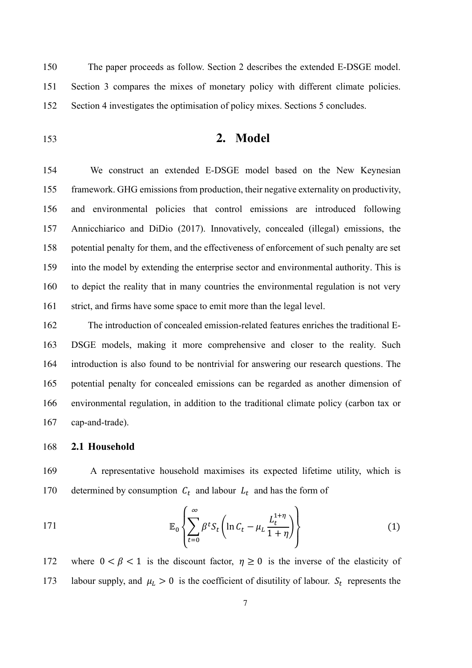150 The paper proceeds as follow. Section 2 describes the extended E-DSGE model. 151 Section 3 compares the mixes of monetary policy with different climate policies. 152 Section 4 investigates the optimisation of policy mixes. Sections 5 concludes.

<sup>153</sup>**2. Model**

We construct an extended E-DSGE model based on the New Keynesian framework. GHG emissions from production, their negative externality on productivity, and environmental policies that control emissions are introduced following Annicchiarico and DiDio (2017). Innovatively, concealed (illegal) emissions, the potential penalty for them, and the effectiveness of enforcement of such penalty are set into the model by extending the enterprise sector and environmental authority. This is to depict the reality that in many countries the environmental regulation is not very 161 strict, and firms have some space to emit more than the legal level.

The introduction of concealed emission-related features enriches the traditional E-DSGE models, making it more comprehensive and closer to the reality. Such introduction is also found to be nontrivial for answering our research questions. The potential penalty for concealed emissions can be regarded as another dimension of environmental regulation, in addition to the traditional climate policy (carbon tax or cap-and-trade).

## 168 **2.1 Household**

169 A representative household maximises its expected lifetime utility, which is 170 determined by consumption  $C_t$  and labour  $L_t$  and has the form of

171 
$$
\mathbb{E}_0\left\{\sum_{t=0}^{\infty}\beta^tS_t\left(\ln C_t-\mu_L\frac{L_t^{1+\eta}}{1+\eta}\right)\right\}
$$
 (1)

172 where  $0 < \beta < 1$  is the discount factor,  $\eta \ge 0$  is the inverse of the elasticity of 173 labour supply, and  $\mu_L > 0$  is the coefficient of disutility of labour.  $S_t$  represents the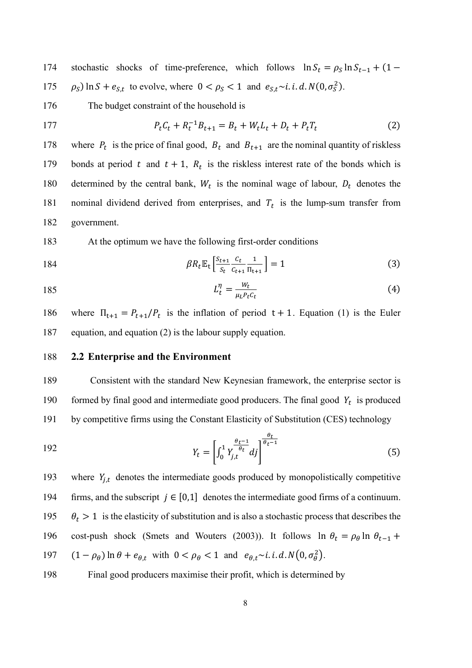174 stochastic shocks of time-preference, which follows  $\ln S_t = \rho_S \ln S_{t-1} + (1 -$ 175  $\rho_S$ ) ln  $S + e_{S,t}$  to evolve, where  $0 < \rho_S < 1$  and  $e_{S,t} \sim i \cdot i \cdot d \cdot N(0, \sigma_S^2)$ .

176 The budget constraint of the household is

177 
$$
P_t C_t + R_t^{-1} B_{t+1} = B_t + W_t L_t + D_t + P_t T_t
$$
 (2)

178 where  $P_t$  is the price of final good,  $B_t$  and  $B_{t+1}$  are the nominal quantity of riskless 179 bonds at period t and  $t + 1$ ,  $R_t$  is the riskless interest rate of the bonds which is 180 determined by the central bank,  $W_t$  is the nominal wage of labour,  $D_t$  denotes the 181 nominal dividend derived from enterprises, and  $T_t$  is the lump-sum transfer from 182 government.

183 At the optimum we have the following first-order conditions

184 
$$
\beta R_t \mathbb{E}_t \left[ \frac{S_{t+1}}{S_t} \frac{C_t}{C_{t+1}} \frac{1}{\Pi_{t+1}} \right] = 1
$$
 (3)

$$
L_t^{\eta} = \frac{w_t}{\mu_L P_t c_t} \tag{4}
$$

186 where  $\Pi_{t+1} = P_{t+1}/P_t$  is the inflation of period  $t + 1$ . Equation (1) is the Euler 187 equation, and equation (2) is the labour supply equation.

#### 188 **2.2 Enterprise and the Environment**

189 Consistent with the standard New Keynesian framework, the enterprise sector is formed by final good and intermediate good producers. The final good  $Y_t$  is produced 191 by competitive firms using the Constant Elasticity of Substitution (CES) technology

192 
$$
Y_t = \left[\int_0^1 Y_{j,t}^{\frac{\theta_t - 1}{\theta_t}} df\right]^{\frac{\theta_t}{\theta_{t-1}}}
$$
(5)

193 where  $Y_{j,t}$  denotes the intermediate goods produced by monopolistically competitive 194 firms, and the subscript  $j \in [0,1]$  denotes the intermediate good firms of a continuum. 195  $\theta_t > 1$  is the elasticity of substitution and is also a stochastic process that describes the 196 cost-push shock (Smets and Wouters (2003)). It follows  $\ln \theta_t = \rho_\theta \ln \theta_{t-1} +$ 197  $(1 - \rho_{\theta}) \ln \theta + e_{\theta, t}$  with  $0 < \rho_{\theta} < 1$  and  $e_{\theta, t} \sim i \ldotp i \ldotp d \ldotp N(0, \sigma_{\theta}^2)$ .

198 Final good producers maximise their profit, which is determined by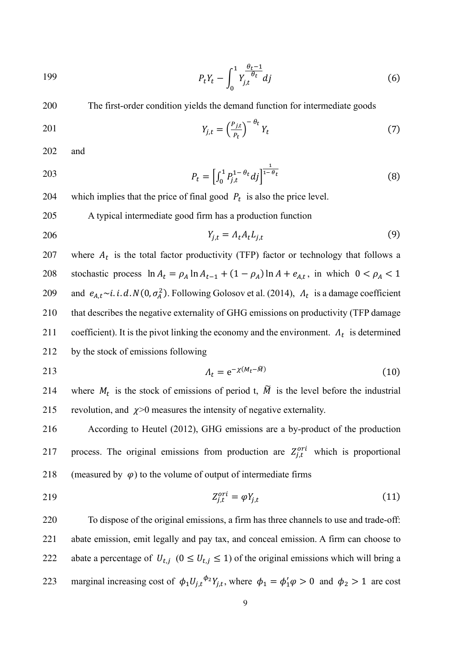199 
$$
P_t Y_t - \int_0^1 Y_{j,t}^{\frac{\theta_t - 1}{\theta_t}} dj \qquad (6)
$$

200 The first-order condition yields the demand function for intermediate goods

$$
Y_{j,t} = \left(\frac{P_{j,t}}{P_t}\right)^{-\theta_t} Y_t \tag{7}
$$

202 and

203 
$$
P_t = \left[\int_0^1 P_{j,t}^{1-\theta_t} df\right]^{\frac{1}{1-\theta_t}}
$$
 (8)

204 which implies that the price of final good  $P_t$  is also the price level.

205 A typical intermediate good firm has a production function

$$
Y_{j,t} = \Lambda_t A_t L_{j,t} \tag{9}
$$

207 where  $A_t$  is the total factor productivity (TFP) factor or technology that follows a 208 stochastic process  $\ln A_t = \rho_A \ln A_{t-1} + (1 - \rho_A) \ln A + e_{A,t}$ , in which  $0 < \rho_A < 1$ 209 and  $e_{A,t} \sim i. i. d. N(0, \sigma_A^2)$ . Following Golosov et al. (2014),  $\Lambda_t$  is a damage coefficient 210 that describes the negative externality of GHG emissions on productivity (TFP damage 211 coefficient). It is the pivot linking the economy and the environment.  $\Lambda_t$  is determined 212 by the stock of emissions following

$$
\Lambda_t = e^{-\chi(M_t - \tilde{M})} \tag{10}
$$

214 where  $M_t$  is the stock of emissions of period t,  $\tilde{M}$  is the level before the industrial 215 revolution, and  $\chi$  >0 measures the intensity of negative externality.

216 According to Heutel (2012), GHG emissions are a by-product of the production 217 process. The original emissions from production are  $Z_{j,t}^{ori}$  which is proportional 218 (measured by  $\varphi$ ) to the volume of output of intermediate firms

219  $Z_{j,t}^{ori} = \varphi Y_{j,t}$  (11)

220 To dispose of the original emissions, a firm has three channels to use and trade-off: 221 abate emission, emit legally and pay tax, and conceal emission. A firm can choose to 222 abate a percentage of  $U_{t,j}$   $(0 \leq U_{t,j} \leq 1)$  of the original emissions which will bring a 223 marginal increasing cost of  $\phi_1 U_{j,t}^{\phi_2} Y_{j,t}$ , where  $\phi_1 = \phi'_1 \phi > 0$  and  $\phi_2 > 1$  are cost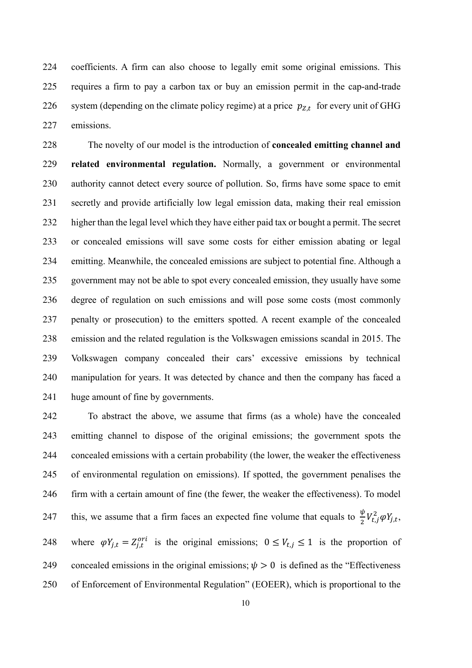coefficients. A firm can also choose to legally emit some original emissions. This requires a firm to pay a carbon tax or buy an emission permit in the cap-and-trade 226 system (depending on the climate policy regime) at a price  $p_{Z,t}$  for every unit of GHG emissions.

The novelty of our model is the introduction of **concealed emitting channel and related environmental regulation.** Normally, a government or environmental authority cannot detect every source of pollution. So, firms have some space to emit secretly and provide artificially low legal emission data, making their real emission higher than the legal level which they have either paid tax or bought a permit. The secret or concealed emissions will save some costs for either emission abating or legal emitting. Meanwhile, the concealed emissions are subject to potential fine. Although a government may not be able to spot every concealed emission, they usually have some degree of regulation on such emissions and will pose some costs (most commonly penalty or prosecution) to the emitters spotted. A recent example of the concealed emission and the related regulation is the Volkswagen emissions scandal in 2015. The Volkswagen company concealed their cars' excessive emissions by technical manipulation for years. It was detected by chance and then the company has faced a huge amount of fine by governments.

To abstract the above, we assume that firms (as a whole) have the concealed emitting channel to dispose of the original emissions; the government spots the concealed emissions with a certain probability (the lower, the weaker the effectiveness of environmental regulation on emissions). If spotted, the government penalises the firm with a certain amount of fine (the fewer, the weaker the effectiveness). To model 247 this, we assume that a firm faces an expected fine volume that equals to  $\frac{\psi}{2} V_{t,j}^2 \varphi Y_{j,t}$ , 248 where  $\varphi Y_{j,t} = Z_{j,t}^{ori}$  is the original emissions;  $0 \leq V_{t,j} \leq 1$  is the proportion of 249 concealed emissions in the original emissions;  $\psi > 0$  is defined as the "Effectiveness" of Enforcement of Environmental Regulation" (EOEER), which is proportional to the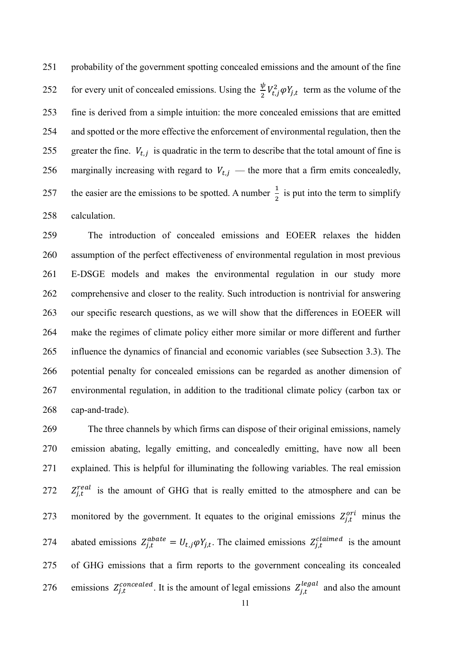probability of the government spotting concealed emissions and the amount of the fine 252 for every unit of concealed emissions. Using the  $\frac{\psi}{2} V_{t,j}^2 \varphi Y_{j,t}$  term as the volume of the fine is derived from a simple intuition: the more concealed emissions that are emitted and spotted or the more effective the enforcement of environmental regulation, then the 255 greater the fine.  $V_{t,j}$  is quadratic in the term to describe that the total amount of fine is 256 marginally increasing with regard to  $V_{t,i}$  — the more that a firm emits concealedly, 257 the easier are the emissions to be spotted. A number  $\frac{1}{2}$  is put into the term to simplify calculation.

The introduction of concealed emissions and EOEER relaxes the hidden assumption of the perfect effectiveness of environmental regulation in most previous E-DSGE models and makes the environmental regulation in our study more comprehensive and closer to the reality. Such introduction is nontrivial for answering our specific research questions, as we will show that the differences in EOEER will make the regimes of climate policy either more similar or more different and further influence the dynamics of financial and economic variables (see Subsection 3.3). The potential penalty for concealed emissions can be regarded as another dimension of environmental regulation, in addition to the traditional climate policy (carbon tax or cap-and-trade).

The three channels by which firms can dispose of their original emissions, namely emission abating, legally emitting, and concealedly emitting, have now all been explained. This is helpful for illuminating the following variables. The real emission  $Z_{j,t}^{real}$  is the amount of GHG that is really emitted to the atmosphere and can be 273 monitored by the government. It equates to the original emissions  $Z_{j,t}^{or}$  minus the 274 abated emissions  $Z_{j,t}^{abate} = U_{t,j} \varphi Y_{j,t}$ . The claimed emissions  $Z_{j,t}^{clained}$  is the amount of GHG emissions that a firm reports to the government concealing its concealed 276 emissions  $Z_{j,t}^{concealed}$ . It is the amount of legal emissions  $Z_{j,t}^{legal}$  and also the amount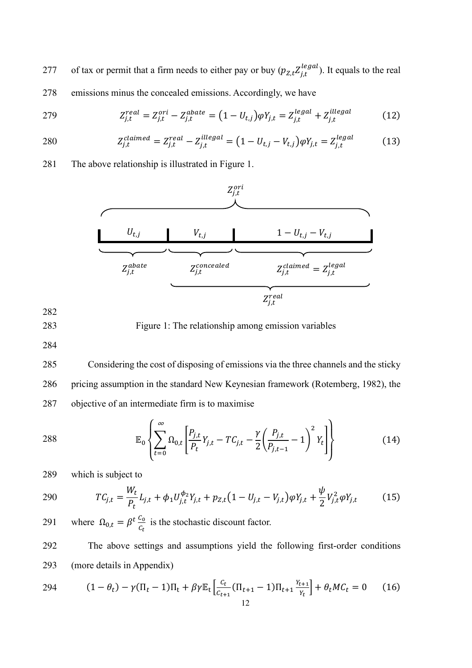277 of tax or permit that a firm needs to either pay or buy  $(p_{Z,t} Z_{j,t}^{legal})$ . It equals to the real 278 emissions minus the concealed emissions. Accordingly, we have

279 
$$
Z_{j,t}^{real} = Z_{j,t}^{ori} - Z_{j,t}^{abate} = (1 - U_{t,j})\varphi Y_{j,t} = Z_{j,t}^{legal} + Z_{j,t}^{illegal}
$$
 (12)

280 
$$
Z_{j,t}^{clained} = Z_{j,t}^{real} - Z_{j,t}^{illegal} = (1 - U_{t,j} - V_{t,j})\varphi Y_{j,t} = Z_{j,t}^{legal}
$$
 (13)

281 The above relationship is illustrated in Figure 1.



282

283 Figure 1: The relationship among emission variables

284

285 Considering the cost of disposing of emissions via the three channels and the sticky 286 pricing assumption in the standard New Keynesian framework (Rotemberg, 1982), the 287 objective of an intermediate firm is to maximise

288 
$$
\mathbb{E}_0 \left\{ \sum_{t=0}^{\infty} \Omega_{0,t} \left[ \frac{P_{j,t}}{P_t} Y_{j,t} - T C_{j,t} - \frac{\gamma}{2} \left( \frac{P_{j,t}}{P_{j,t-1}} - 1 \right)^2 Y_t \right] \right\}
$$
(14)

289 which is subject to

290 
$$
TC_{j,t} = \frac{W_t}{P_t}L_{j,t} + \phi_1 U_{j,t}^{\phi_2}Y_{j,t} + p_{Z,t}(1 - U_{j,t} - V_{j,t})\varphi Y_{j,t} + \frac{\psi}{2}V_{j,t}^2\varphi Y_{j,t}
$$
(15)

where  $\Omega_{0,t} = \beta^t \frac{C_0}{C_t}$ 291 where  $\Omega_{0,t} = \beta^t \frac{c_0}{c_t}$  is the stochastic discount factor.

292 The above settings and assumptions yield the following first-order conditions 293 (more details in Appendix)

294 
$$
(1 - \theta_t) - \gamma (\Pi_t - 1) \Pi_t + \beta \gamma \mathbb{E}_t \left[ \frac{c_t}{c_{t+1}} (\Pi_{t+1} - 1) \Pi_{t+1} \frac{Y_{t+1}}{Y_t} \right] + \theta_t M C_t = 0 \quad (16)
$$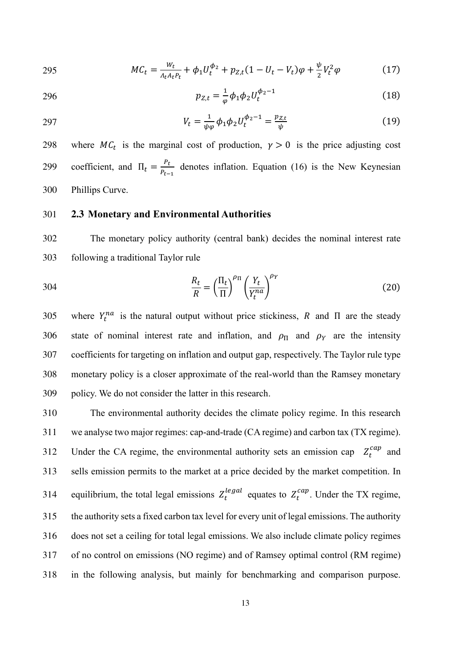295 
$$
MC_t = \frac{W_t}{\Lambda_t A_t P_t} + \phi_1 U_t^{\phi_2} + p_{Z,t} (1 - U_t - V_t) \varphi + \frac{\psi}{2} V_t^2 \varphi
$$
 (17)

296 
$$
p_{Z,t} = \frac{1}{\varphi} \phi_1 \phi_2 U_t^{\phi_2 - 1}
$$
 (18)

297 
$$
V_t = \frac{1}{\psi \varphi} \phi_1 \phi_2 U_t^{\phi_2 - 1} = \frac{p_{Z,t}}{\psi}
$$
 (19)

298 where  $MC_t$  is the marginal cost of production,  $\gamma > 0$  is the price adjusting cost coefficient, and  $\Pi_t = \frac{P_t}{P_{t-}}$ 299 coefficient, and  $\Pi_t = \frac{r_t}{P_{t-1}}$  denotes inflation. Equation (16) is the New Keynesian 300 Phillips Curve.

## 301 **2.3 Monetary and Environmental Authorities**

302 The monetary policy authority (central bank) decides the nominal interest rate 303 following a traditional Taylor rule

304 
$$
\frac{R_t}{R} = \left(\frac{\Pi_t}{\Pi}\right)^{\rho_{\Pi}} \left(\frac{Y_t}{Y_t^{na}}\right)^{\rho_Y}
$$
(20)

305 where  $Y_t^{na}$  is the natural output without price stickiness, R and  $\Pi$  are the steady 306 state of nominal interest rate and inflation, and  $\rho_{\Pi}$  and  $\rho_{Y}$  are the intensity 307 coefficients for targeting on inflation and output gap, respectively. The Taylor rule type 308 monetary policy is a closer approximate of the real-world than the Ramsey monetary 309 policy. We do not consider the latter in this research.

The environmental authority decides the climate policy regime. In this research we analyse two major regimes: cap-and-trade (CA regime) and carbon tax (TX regime). 312 Under the CA regime, the environmental authority sets an emission cap  $Z_t^{cap}$  and sells emission permits to the market at a price decided by the market competition. In 314 equilibrium, the total legal emissions  $Z_t^{legal}$  equates to  $Z_t^{cap}$ . Under the TX regime, the authority sets a fixed carbon tax level for every unit of legal emissions. The authority does not set a ceiling for total legal emissions. We also include climate policy regimes of no control on emissions (NO regime) and of Ramsey optimal control (RM regime) in the following analysis, but mainly for benchmarking and comparison purpose.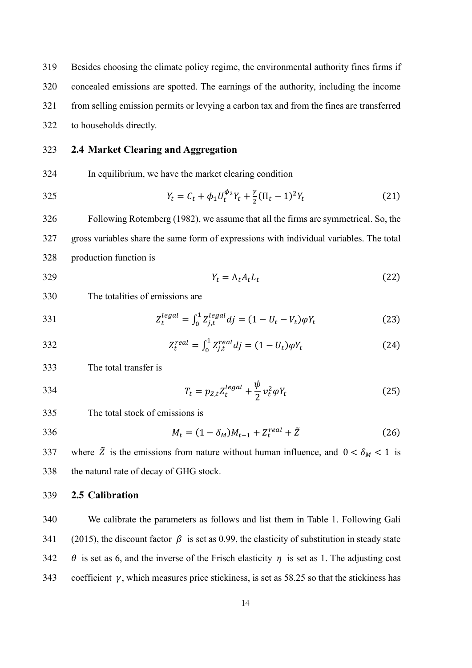Besides choosing the climate policy regime, the environmental authority fines firms if concealed emissions are spotted. The earnings of the authority, including the income from selling emission permits or levying a carbon tax and from the fines are transferred to households directly.

## **2.4 Market Clearing and Aggregation**

In equilibrium, we have the market clearing condition

325 
$$
Y_t = C_t + \phi_1 U_t^{\phi_2} Y_t + \frac{\gamma}{2} (\Pi_t - 1)^2 Y_t
$$
 (21)

Following Rotemberg (1982), we assume that all the firms are symmetrical. So, the gross variables share the same form of expressions with individual variables. The total production function is

329  $Y_t = \Lambda_t A_t L_t$  (22)

#### The totalities of emissions are

331 
$$
Z_t^{legal} = \int_0^1 Z_{j,t}^{legal} dj = (1 - U_t - V_t)\varphi Y_t
$$
 (23)

332 
$$
Z_t^{real} = \int_0^1 Z_{j,t}^{real} dj = (1 - U_t)\varphi Y_t
$$
 (24)

The total transfer is

334 
$$
T_t = p_{Z,t} Z_t^{legal} + \frac{\psi}{2} v_t^2 \varphi Y_t
$$
 (25)

The total stock of emissions is

$$
M_t = (1 - \delta_M)M_{t-1} + Z_t^{real} + \tilde{Z}
$$
 (26)

337 where  $\tilde{Z}$  is the emissions from nature without human influence, and  $0 < \delta_M < 1$  is the natural rate of decay of GHG stock.

#### **2.5 Calibration**

We calibrate the parameters as follows and list them in Table 1. Following Gali 341 (2015), the discount factor  $\beta$  is set as 0.99, the elasticity of substitution in steady state 342  $\theta$  is set as 6, and the inverse of the Frisch elasticity  $\eta$  is set as 1. The adjusting cost 343 coefficient  $\gamma$ , which measures price stickiness, is set as 58.25 so that the stickiness has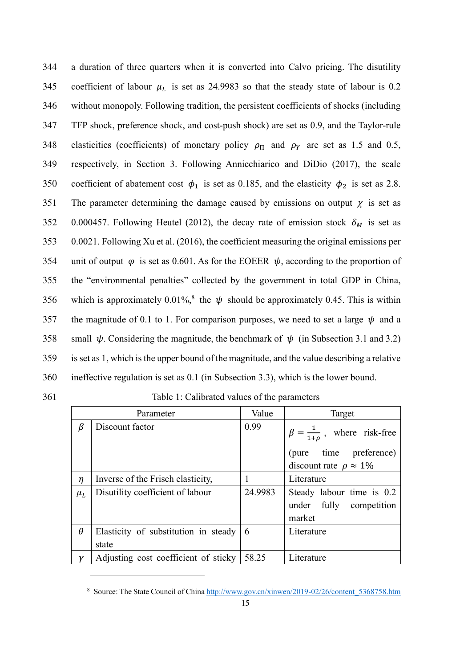| 344 | a duration of three quarters when it is converted into Calvo pricing. The disutility               |
|-----|----------------------------------------------------------------------------------------------------|
| 345 | coefficient of labour $\mu$ is set as 24.9983 so that the steady state of labour is 0.2            |
| 346 | without monopoly. Following tradition, the persistent coefficients of shocks (including            |
| 347 | TFP shock, preference shock, and cost-push shock) are set as 0.9, and the Taylor-rule              |
| 348 | elasticities (coefficients) of monetary policy $\rho_{\Pi}$ and $\rho_{Y}$ are set as 1.5 and 0.5, |
| 349 | respectively, in Section 3. Following Annicchiarico and DiDio (2017), the scale                    |
| 350 | coefficient of abatement cost $\phi_1$ is set as 0.185, and the elasticity $\phi_2$ is set as 2.8. |
| 351 | The parameter determining the damage caused by emissions on output $\chi$ is set as                |
| 352 | 0.000457. Following Heutel (2012), the decay rate of emission stock $\delta_M$ is set as           |
| 353 | 0.0021. Following Xu et al. (2016), the coefficient measuring the original emissions per           |
| 354 | unit of output $\varphi$ is set as 0.601. As for the EOEER $\psi$ , according to the proportion of |
| 355 | the "environmental penalties" collected by the government in total GDP in China,                   |
| 356 | which is approximately 0.01%, <sup>8</sup> the $\psi$ should be approximately 0.45. This is within |
| 357 | the magnitude of 0.1 to 1. For comparison purposes, we need to set a large $\psi$ and a            |
| 358 | small $\psi$ . Considering the magnitude, the benchmark of $\psi$ (in Subsection 3.1 and 3.2)      |
| 359 | is set as 1, which is the upper bound of the magnitude, and the value describing a relative        |
| 360 | ineffective regulation is set as 0.1 (in Subsection 3.3), which is the lower bound.                |

| Parameter |                                                        | Value   | Target                                                         |
|-----------|--------------------------------------------------------|---------|----------------------------------------------------------------|
| β         | Discount factor                                        | 0.99    | $\beta = \frac{1}{1+\rho}$ , where risk-free                   |
|           |                                                        |         | (pure time preference)                                         |
|           |                                                        |         | discount rate $\rho \approx 1\%$                               |
| $\eta$    | Inverse of the Frisch elasticity,                      |         | Literature                                                     |
| $\mu_L$   | Disutility coefficient of labour                       | 24.9983 | Steady labour time is 0.2<br>under fully competition<br>market |
| $\theta$  | Elasticity of substitution in steady $\vert 6 \rangle$ |         | Literature                                                     |
|           | state                                                  |         |                                                                |
|           | Adjusting cost coefficient of sticky                   | 58.25   | Literature                                                     |

<sup>&</sup>lt;sup>8</sup> Source: The State Council of Chin[a http://www.gov.cn/xinwen/2019-02/26/content\\_5368758.htm](http://www.gov.cn/xinwen/2019-02/26/content_5368758.htm)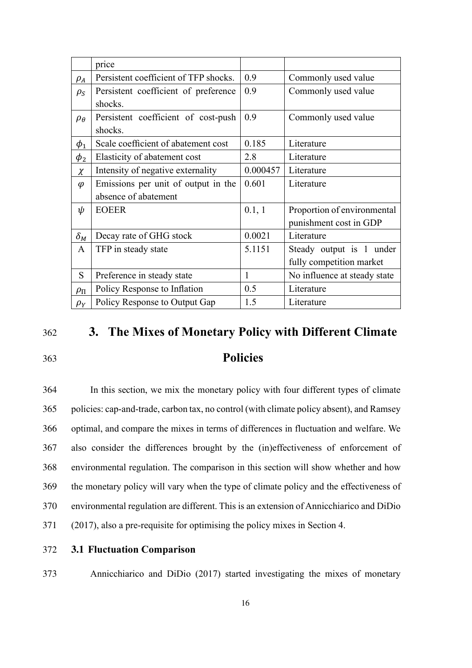|                 | price                                 |              |                              |
|-----------------|---------------------------------------|--------------|------------------------------|
| $\rho_A$        | Persistent coefficient of TFP shocks. | 0.9          | Commonly used value          |
| $\rho_S$        | Persistent coefficient of preference  | 0.9          | Commonly used value          |
|                 | shocks.                               |              |                              |
| $\rho_{\theta}$ | Persistent coefficient of cost-push   | 0.9          | Commonly used value          |
|                 | shocks.                               |              |                              |
| $\phi_1$        | Scale coefficient of abatement cost   | 0.185        | Literature                   |
| $\phi_2$        | Elasticity of abatement cost          | 2.8          | Literature                   |
| $\chi$          | Intensity of negative externality     | 0.000457     | Literature                   |
| $\varphi$       | Emissions per unit of output in the   | 0.601        | Literature                   |
|                 | absence of abatement                  |              |                              |
| ψ               | <b>EOEER</b>                          | 0.1, 1       | Proportion of environmental  |
|                 |                                       |              | punishment cost in GDP       |
| $\delta_M$      | Decay rate of GHG stock               | 0.0021       | Literature                   |
| $\mathsf{A}$    | TFP in steady state                   | 5.1151       | Steady output is 1 under     |
|                 |                                       |              | fully competition market     |
| S               | Preference in steady state            | $\mathbf{1}$ | No influence at steady state |
| $\rho_{\Pi}$    | Policy Response to Inflation          | 0.5          | Literature                   |
| $\rho_Y$        | Policy Response to Output Gap         | 1.5          | Literature                   |

## <sup>362</sup>**3. The Mixes of Monetary Policy with Different Climate**

## 363 **Policies**

In this section, we mix the monetary policy with four different types of climate policies: cap-and-trade, carbon tax, no control (with climate policy absent), and Ramsey optimal, and compare the mixes in terms of differences in fluctuation and welfare. We also consider the differences brought by the (in)effectiveness of enforcement of environmental regulation. The comparison in this section will show whether and how the monetary policy will vary when the type of climate policy and the effectiveness of environmental regulation are different. This is an extension of Annicchiarico and DiDio (2017), also a pre-requisite for optimising the policy mixes in Section 4.

#### 372 **3.1 Fluctuation Comparison**

373 Annicchiarico and DiDio (2017) started investigating the mixes of monetary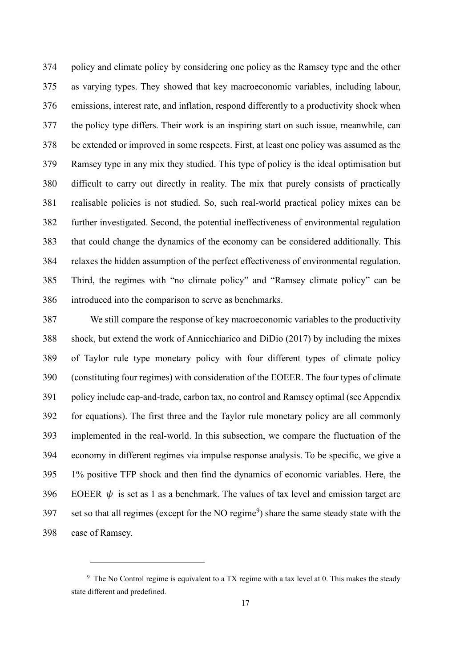policy and climate policy by considering one policy as the Ramsey type and the other as varying types. They showed that key macroeconomic variables, including labour, emissions, interest rate, and inflation, respond differently to a productivity shock when the policy type differs. Their work is an inspiring start on such issue, meanwhile, can be extended or improved in some respects. First, at least one policy was assumed as the Ramsey type in any mix they studied. This type of policy is the ideal optimisation but difficult to carry out directly in reality. The mix that purely consists of practically realisable policies is not studied. So, such real-world practical policy mixes can be further investigated. Second, the potential ineffectiveness of environmental regulation that could change the dynamics of the economy can be considered additionally. This relaxes the hidden assumption of the perfect effectiveness of environmental regulation. Third, the regimes with "no climate policy" and "Ramsey climate policy" can be introduced into the comparison to serve as benchmarks.

We still compare the response of key macroeconomic variables to the productivity shock, but extend the work of Annicchiarico and DiDio (2017) by including the mixes of Taylor rule type monetary policy with four different types of climate policy (constituting four regimes) with consideration of the EOEER. The four types of climate policy include cap-and-trade, carbon tax, no control and Ramsey optimal (see Appendix for equations). The first three and the Taylor rule monetary policy are all commonly implemented in the real-world. In this subsection, we compare the fluctuation of the economy in different regimes via impulse response analysis. To be specific, we give a 1% positive TFP shock and then find the dynamics of economic variables. Here, the 396 EOEER  $\psi$  is set as 1 as a benchmark. The values of tax level and emission target are 397 set so that all regimes (except for the NO regime<sup>9</sup>) share the same steady state with the case of Ramsey.

<sup>&</sup>lt;sup>9</sup> The No Control regime is equivalent to a TX regime with a tax level at 0. This makes the steady state different and predefined.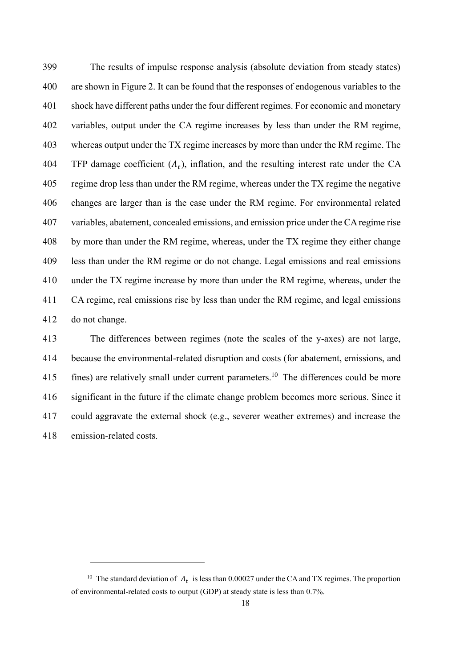The results of impulse response analysis (absolute deviation from steady states) are shown in Figure 2. It can be found that the responses of endogenous variables to the shock have different paths under the four different regimes. For economic and monetary variables, output under the CA regime increases by less than under the RM regime, whereas output under the TX regime increases by more than under the RM regime. The 404 TFP damage coefficient  $(A_t)$ , inflation, and the resulting interest rate under the CA regime drop less than under the RM regime, whereas under the TX regime the negative changes are larger than is the case under the RM regime. For environmental related variables, abatement, concealed emissions, and emission price under the CA regime rise by more than under the RM regime, whereas, under the TX regime they either change less than under the RM regime or do not change. Legal emissions and real emissions under the TX regime increase by more than under the RM regime, whereas, under the CA regime, real emissions rise by less than under the RM regime, and legal emissions do not change.

The differences between regimes (note the scales of the y-axes) are not large, because the environmental-related disruption and costs (for abatement, emissions, and  $\,$  fines) are relatively small under current parameters.<sup>10</sup> The differences could be more significant in the future if the climate change problem becomes more serious. Since it could aggravate the external shock (e.g., severer weather extremes) and increase the 418 emission-related costs.

<sup>&</sup>lt;sup>10</sup> The standard deviation of  $\Lambda_t$  is less than 0.00027 under the CA and TX regimes. The proportion of environmental-related costs to output (GDP) at steady state is less than 0.7%.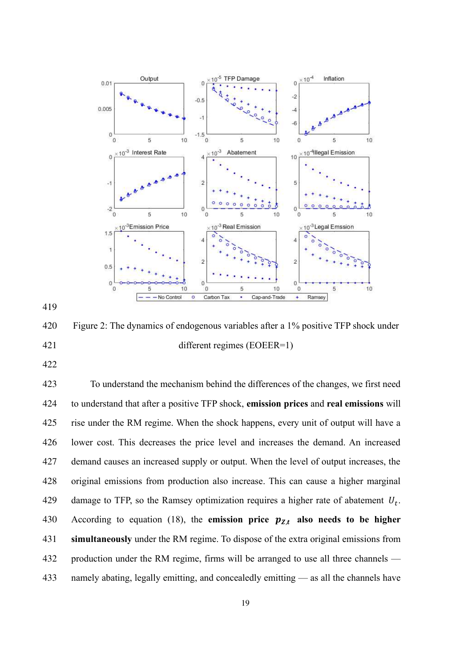

Figure 2: The dynamics of endogenous variables after a 1% positive TFP shock under different regimes (EOEER=1)

To understand the mechanism behind the differences of the changes, we first need to understand that after a positive TFP shock, **emission prices** and **real emissions** will rise under the RM regime. When the shock happens, every unit of output will have a lower cost. This decreases the price level and increases the demand. An increased demand causes an increased supply or output. When the level of output increases, the original emissions from production also increase. This can cause a higher marginal 429 damage to TFP, so the Ramsey optimization requires a higher rate of abatement  $U_t$ . According to equation (18), the **emission price**  $p_{Z,t}$  **also needs to be higher simultaneously** under the RM regime. To dispose of the extra original emissions from 432 production under the RM regime, firms will be arranged to use all three channels — namely abating, legally emitting, and concealedly emitting — as all the channels have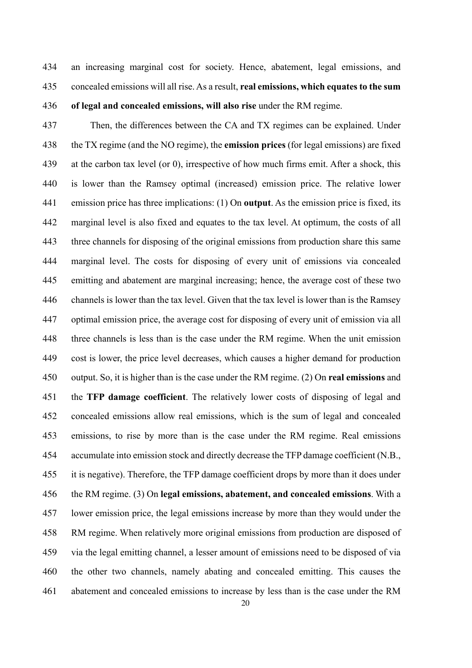an increasing marginal cost for society. Hence, abatement, legal emissions, and concealed emissions will all rise. As a result, **real emissions, which equates to the sum of legal and concealed emissions, will also rise** under the RM regime.

Then, the differences between the CA and TX regimes can be explained. Under the TX regime (and the NO regime), the **emission prices** (for legal emissions) are fixed at the carbon tax level (or 0), irrespective of how much firms emit. After a shock, this is lower than the Ramsey optimal (increased) emission price. The relative lower emission price has three implications: (1) On **output**. As the emission price is fixed, its marginal level is also fixed and equates to the tax level. At optimum, the costs of all three channels for disposing of the original emissions from production share this same marginal level. The costs for disposing of every unit of emissions via concealed emitting and abatement are marginal increasing; hence, the average cost of these two channels is lower than the tax level. Given that the tax level is lower than is the Ramsey optimal emission price, the average cost for disposing of every unit of emission via all three channels is less than is the case under the RM regime. When the unit emission cost is lower, the price level decreases, which causes a higher demand for production output. So, it is higher than is the case under the RM regime. (2) On **real emissions** and the **TFP damage coefficient**. The relatively lower costs of disposing of legal and concealed emissions allow real emissions, which is the sum of legal and concealed emissions, to rise by more than is the case under the RM regime. Real emissions accumulate into emission stock and directly decrease the TFP damage coefficient (N.B., it is negative). Therefore, the TFP damage coefficient drops by more than it does under the RM regime. (3) On **legal emissions, abatement, and concealed emissions**. With a lower emission price, the legal emissions increase by more than they would under the RM regime. When relatively more original emissions from production are disposed of via the legal emitting channel, a lesser amount of emissions need to be disposed of via the other two channels, namely abating and concealed emitting. This causes the abatement and concealed emissions to increase by less than is the case under the RM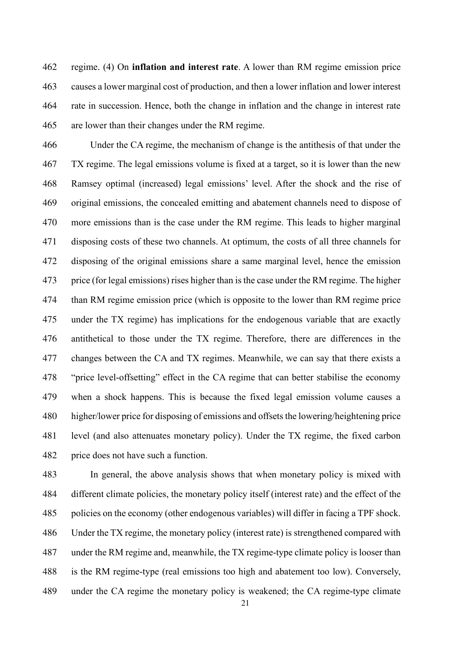regime. (4) On **inflation and interest rate**. A lower than RM regime emission price causes a lower marginal cost of production, and then a lower inflation and lower interest rate in succession. Hence, both the change in inflation and the change in interest rate are lower than their changes under the RM regime.

Under the CA regime, the mechanism of change is the antithesis of that under the TX regime. The legal emissions volume is fixed at a target, so it is lower than the new Ramsey optimal (increased) legal emissions' level. After the shock and the rise of original emissions, the concealed emitting and abatement channels need to dispose of more emissions than is the case under the RM regime. This leads to higher marginal disposing costs of these two channels. At optimum, the costs of all three channels for disposing of the original emissions share a same marginal level, hence the emission price (for legal emissions) rises higher than is the case under the RM regime. The higher than RM regime emission price (which is opposite to the lower than RM regime price under the TX regime) has implications for the endogenous variable that are exactly antithetical to those under the TX regime. Therefore, there are differences in the changes between the CA and TX regimes. Meanwhile, we can say that there exists a "price level-offsetting" effect in the CA regime that can better stabilise the economy when a shock happens. This is because the fixed legal emission volume causes a higher/lower price for disposing of emissions and offsets the lowering/heightening price level (and also attenuates monetary policy). Under the TX regime, the fixed carbon price does not have such a function.

In general, the above analysis shows that when monetary policy is mixed with different climate policies, the monetary policy itself (interest rate) and the effect of the policies on the economy (other endogenous variables) will differ in facing a TPF shock. Under the TX regime, the monetary policy (interest rate) is strengthened compared with under the RM regime and, meanwhile, the TX regime-type climate policy is looser than is the RM regime-type (real emissions too high and abatement too low). Conversely, under the CA regime the monetary policy is weakened; the CA regime-type climate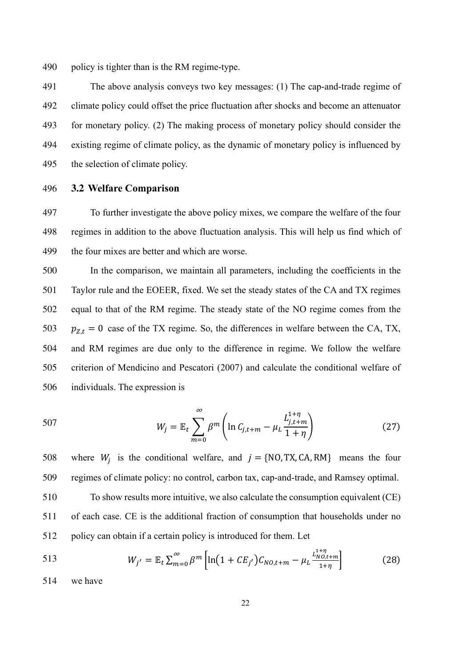490 policy is tighter than is the RM regime-type.

The above analysis conveys two key messages: (1) The cap-and-trade regime of climate policy could offset the price fluctuation after shocks and become an attenuator for monetary policy. (2) The making process of monetary policy should consider the existing regime of climate policy, as the dynamic of monetary policy is influenced by the selection of climate policy.

496 **3.2 Welfare Comparison**

497 To further investigate the above policy mixes, we compare the welfare of the four 498 regimes in addition to the above fluctuation analysis. This will help us find which of 499 the four mixes are better and which are worse.

In the comparison, we maintain all parameters, including the coefficients in the Taylor rule and the EOEER, fixed. We set the steady states of the CA and TX regimes equal to that of the RM regime. The steady state of the NO regime comes from the  $p_{z,t} = 0$  case of the TX regime. So, the differences in welfare between the CA, TX, and RM regimes are due only to the difference in regime. We follow the welfare criterion of Mendicino and Pescatori (2007) and calculate the conditional welfare of individuals. The expression is

507 
$$
W_{j} = \mathbb{E}_{t} \sum_{m=0}^{\infty} \beta^{m} \left( \ln C_{j,t+m} - \mu_{L} \frac{L_{j,t+m}^{1+\eta}}{1+\eta} \right)
$$
 (27)

508 where  $W_i$  is the conditional welfare, and  $j = \{NO, TX, CA, RM\}$  means the four 509 regimes of climate policy: no control, carbon tax, cap-and-trade, and Ramsey optimal.

510 To show results more intuitive, we also calculate the consumption equivalent (CE) 511 of each case. CE is the additional fraction of consumption that households under no 512 policy can obtain if a certain policy is introduced for them. Let

513 
$$
W_{j'} = \mathbb{E}_t \sum_{m=0}^{\infty} \beta^m \left[ \ln \left( 1 + CE_{j'} \right) C_{NO,t+m} - \mu_L \frac{L_{NO,t+m}^{1+\eta}}{1+\eta} \right]
$$
(28)

514 we have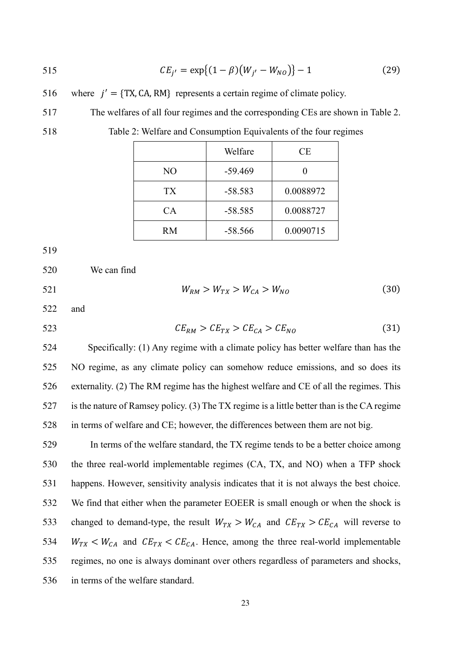$$
CE_{j'} = \exp\{(1 - \beta)(W_{j'} - W_{NO})\} - 1
$$
 (29)

516 where  $j' = \{TX, CA, RM\}$  represents a certain regime of climate policy.

The welfares of all four regimes and the corresponding CEs are shown in Table 2.

Table 2: Welfare and Consumption Equivalents of the four regimes

|                | Welfare   | CE        |
|----------------|-----------|-----------|
| N <sub>O</sub> | $-59.469$ |           |
| TX             | $-58.583$ | 0.0088972 |
| <b>CA</b>      | $-58.585$ | 0.0088727 |
| RM             | $-58.566$ | 0.0090715 |

We can find

521  $W_{RM} > W_{TX} > W_{CA} > W_{NO}$  (30)

and

523  $CE_{RM} > CE_{TX} > CE_{CA} > CE_{NO}$  (31)

Specifically: (1) Any regime with a climate policy has better welfare than has the NO regime, as any climate policy can somehow reduce emissions, and so does its externality. (2) The RM regime has the highest welfare and CE of all the regimes. This is the nature of Ramsey policy. (3) The TX regime is a little better than is the CA regime in terms of welfare and CE; however, the differences between them are not big.

In terms of the welfare standard, the TX regime tends to be a better choice among the three real-world implementable regimes (CA, TX, and NO) when a TFP shock happens. However, sensitivity analysis indicates that it is not always the best choice. We find that either when the parameter EOEER is small enough or when the shock is 533 changed to demand-type, the result  $W_{TX} > W_{CA}$  and  $CE_{TX} > CE_{CA}$  will reverse to  $W_{TX} < W_{CA}$  and  $CE_{TX} < CE_{CA}$ . Hence, among the three real-world implementable regimes, no one is always dominant over others regardless of parameters and shocks, in terms of the welfare standard.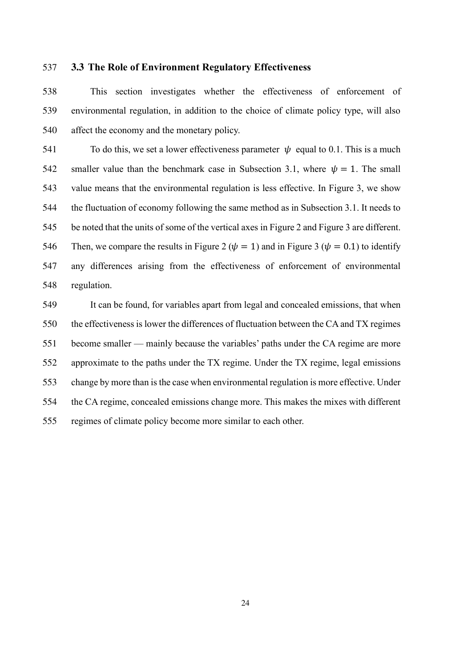#### **3.3 The Role of Environment Regulatory Effectiveness**

This section investigates whether the effectiveness of enforcement of environmental regulation, in addition to the choice of climate policy type, will also affect the economy and the monetary policy.

541 To do this, we set a lower effectiveness parameter  $\psi$  equal to 0.1. This is a much 542 smaller value than the benchmark case in Subsection 3.1, where  $\psi = 1$ . The small value means that the environmental regulation is less effective. In Figure 3, we show the fluctuation of economy following the same method as in Subsection 3.1. It needs to be noted that the units of some of the vertical axes in Figure 2 and Figure 3 are different. 546 Then, we compare the results in Figure 2 ( $\psi = 1$ ) and in Figure 3 ( $\psi = 0.1$ ) to identify any differences arising from the effectiveness of enforcement of environmental regulation.

It can be found, for variables apart from legal and concealed emissions, that when the effectiveness is lower the differences of fluctuation between the CA and TX regimes become smaller — mainly because the variables' paths under the CA regime are more approximate to the paths under the TX regime. Under the TX regime, legal emissions change by more than is the case when environmental regulation is more effective. Under the CA regime, concealed emissions change more. This makes the mixes with different regimes of climate policy become more similar to each other.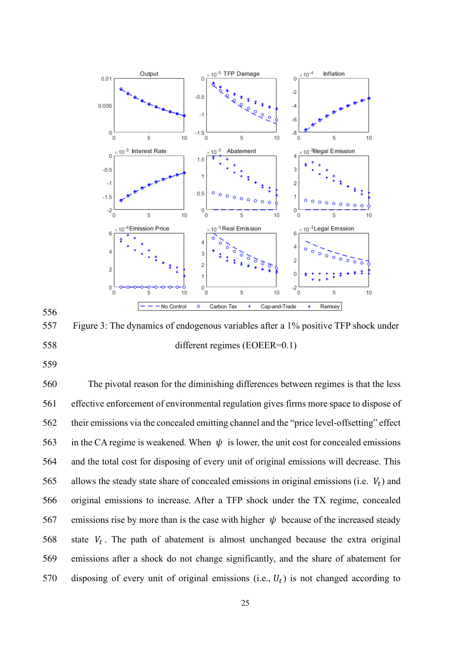

Figure 3: The dynamics of endogenous variables after a 1% positive TFP shock under different regimes (EOEER=0.1)

The pivotal reason for the diminishing differences between regimes is that the less effective enforcement of environmental regulation gives firms more space to dispose of their emissions via the concealed emitting channel and the "price level-offsetting" effect 563 in the CA regime is weakened. When  $\psi$  is lower, the unit cost for concealed emissions and the total cost for disposing of every unit of original emissions will decrease. This 565 allows the steady state share of concealed emissions in original emissions (i.e.  $V_t$ ) and original emissions to increase. After a TFP shock under the TX regime, concealed 567 emissions rise by more than is the case with higher  $\psi$  because of the increased steady 568 state  $V_t$ . The path of abatement is almost unchanged because the extra original emissions after a shock do not change significantly, and the share of abatement for 570 disposing of every unit of original emissions (i.e.,  $U_t$ ) is not changed according to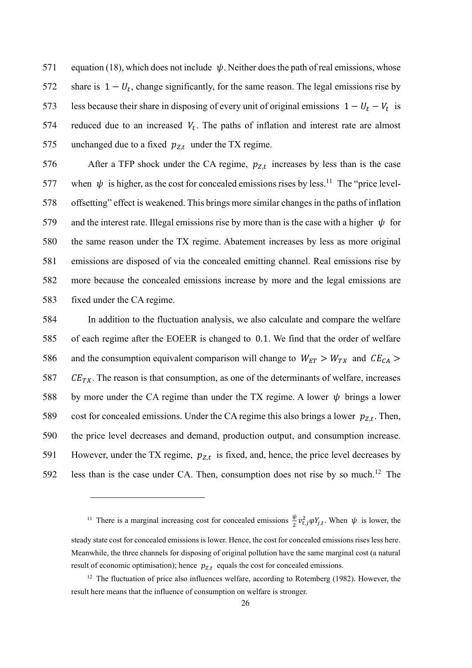571 equation (18), which does not include  $\psi$ . Neither does the path of real emissions, whose share is  $1 - U_t$ , change significantly, for the same reason. The legal emissions rise by 1953 less because their share in disposing of every unit of original emissions  $1 - U_t - V_t$  is 574 reduced due to an increased  $V_t$ . The paths of inflation and interest rate are almost 575 unchanged due to a fixed  $p_{Z,t}$  under the TX regime.

576 After a TFP shock under the CA regime,  $p_{Z,t}$  increases by less than is the case 577 when  $\psi$  is higher, as the cost for concealed emissions rises by less.<sup>11</sup> The "price level-offsetting" effect is weakened. This brings more similar changes in the paths of inflation 579 and the interest rate. Illegal emissions rise by more than is the case with a higher  $\psi$  for the same reason under the TX regime. Abatement increases by less as more original emissions are disposed of via the concealed emitting channel. Real emissions rise by more because the concealed emissions increase by more and the legal emissions are fixed under the CA regime.

584 In addition to the fluctuation analysis, we also calculate and compare the welfare 585 of each regime after the EOEER is changed to 0.1. We find that the order of welfare 586 and the consumption equivalent comparison will change to  $W_{ET} > W_{TX}$  and  $CE_{CA} >$ 587  $CE_{TX}$ . The reason is that consumption, as one of the determinants of welfare, increases 588 by more under the CA regime than under the TX regime. A lower  $\psi$  brings a lower 589 cost for concealed emissions. Under the CA regime this also brings a lower  $p_{Z,t}$ . Then, 590 the price level decreases and demand, production output, and consumption increase. 591 However, under the TX regime,  $p_{Z,t}$  is fixed, and, hence, the price level decreases by 592 less than is the case under CA. Then, consumption does not rise by so much.<sup>12</sup> The

<sup>&</sup>lt;sup>11</sup> There is a marginal increasing cost for concealed emissions  $\frac{\psi}{2}$  $\frac{\varphi}{2} v_{t,j}^2 \varphi Y_{j,t}$ . When  $\psi$  is lower, the steady state cost for concealed emissions is lower. Hence, the cost for concealed emissions rises less here. Meanwhile, the three channels for disposing of original pollution have the same marginal cost (a natural result of economic optimisation); hence  $p_{Z,t}$  equals the cost for concealed emissions.

 $12$  The fluctuation of price also influences welfare, according to Rotemberg (1982). However, the result here means that the influence of consumption on welfare is stronger.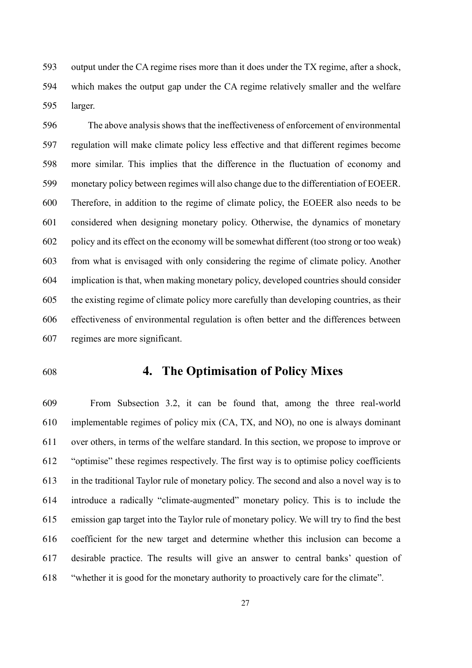output under the CA regime rises more than it does under the TX regime, after a shock, which makes the output gap under the CA regime relatively smaller and the welfare larger.

The above analysis shows that the ineffectiveness of enforcement of environmental regulation will make climate policy less effective and that different regimes become more similar. This implies that the difference in the fluctuation of economy and monetary policy between regimes will also change due to the differentiation of EOEER. Therefore, in addition to the regime of climate policy, the EOEER also needs to be considered when designing monetary policy. Otherwise, the dynamics of monetary policy and its effect on the economy will be somewhat different (too strong or too weak) from what is envisaged with only considering the regime of climate policy. Another implication is that, when making monetary policy, developed countries should consider the existing regime of climate policy more carefully than developing countries, as their effectiveness of environmental regulation is often better and the differences between regimes are more significant.

## **4. The Optimisation of Policy Mixes**

From Subsection 3.2, it can be found that, among the three real-world implementable regimes of policy mix (CA, TX, and NO), no one is always dominant over others, in terms of the welfare standard. In this section, we propose to improve or "optimise" these regimes respectively. The first way is to optimise policy coefficients in the traditional Taylor rule of monetary policy. The second and also a novel way is to introduce a radically "climate-augmented" monetary policy. This is to include the emission gap target into the Taylor rule of monetary policy. We will try to find the best coefficient for the new target and determine whether this inclusion can become a desirable practice. The results will give an answer to central banks' question of "whether it is good for the monetary authority to proactively care for the climate".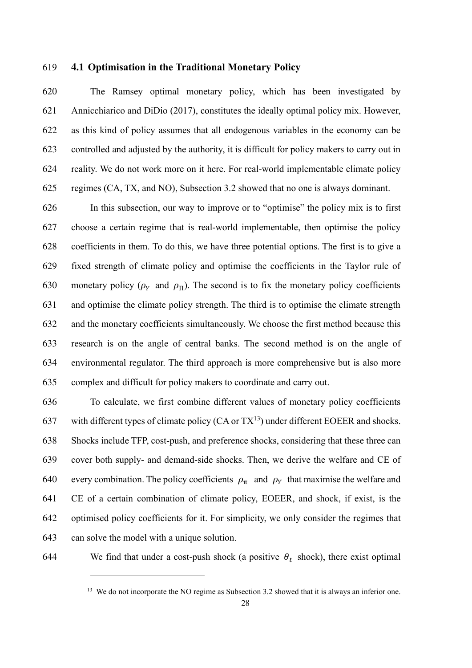#### **4.1 Optimisation in the Traditional Monetary Policy**

The Ramsey optimal monetary policy, which has been investigated by Annicchiarico and DiDio (2017), constitutes the ideally optimal policy mix. However, as this kind of policy assumes that all endogenous variables in the economy can be controlled and adjusted by the authority, it is difficult for policy makers to carry out in reality. We do not work more on it here. For real-world implementable climate policy regimes (CA, TX, and NO), Subsection 3.2 showed that no one is always dominant.

In this subsection, our way to improve or to "optimise" the policy mix is to first choose a certain regime that is real-world implementable, then optimise the policy coefficients in them. To do this, we have three potential options. The first is to give a fixed strength of climate policy and optimise the coefficients in the Taylor rule of 630 monetary policy ( $\rho_Y$  and  $\rho_{\Pi}$ ). The second is to fix the monetary policy coefficients and optimise the climate policy strength. The third is to optimise the climate strength and the monetary coefficients simultaneously. We choose the first method because this research is on the angle of central banks. The second method is on the angle of environmental regulator. The third approach is more comprehensive but is also more complex and difficult for policy makers to coordinate and carry out.

To calculate, we first combine different values of monetary policy coefficients 637 with different types of climate policy  $(CA \text{ or } TX^{13})$  under different EOEER and shocks. Shocks include TFP, cost-push, and preference shocks, considering that these three can cover both supply- and demand-side shocks. Then, we derive the welfare and CE of 640 every combination. The policy coefficients  $\rho_{\pi}$  and  $\rho_{\gamma}$  that maximise the welfare and CE of a certain combination of climate policy, EOEER, and shock, if exist, is the optimised policy coefficients for it. For simplicity, we only consider the regimes that can solve the model with a unique solution.

644 We find that under a cost-push shock (a positive  $\theta_t$  shock), there exist optimal

<sup>&</sup>lt;sup>13</sup> We do not incorporate the NO regime as Subsection 3.2 showed that it is always an inferior one.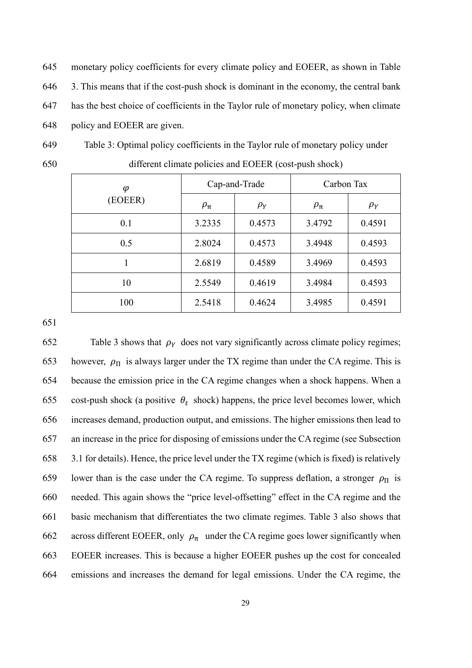monetary policy coefficients for every climate policy and EOEER, as shown in Table 3. This means that if the cost-push shock is dominant in the economy, the central bank has the best choice of coefficients in the Taylor rule of monetary policy, when climate policy and EOEER are given.

Table 3: Optimal policy coefficients in the Taylor rule of monetary policy under different climate policies and EOEER (cost-push shock)

| $\varphi$ | Cap-and-Trade |          | Carbon Tax   |          |
|-----------|---------------|----------|--------------|----------|
| (EOEER)   | $\rho_{\pi}$  | $\rho_Y$ | $\rho_{\pi}$ | $\rho_Y$ |
| 0.1       | 3.2335        | 0.4573   | 3.4792       | 0.4591   |
| 0.5       | 2.8024        | 0.4573   | 3.4948       | 0.4593   |
|           | 2.6819        | 0.4589   | 3.4969       | 0.4593   |
| 10        | 2.5549        | 0.4619   | 3.4984       | 0.4593   |
| 100       | 2.5418        | 0.4624   | 3.4985       | 0.4591   |

652 Table 3 shows that  $\rho_Y$  does not vary significantly across climate policy regimes; 653 however,  $\rho_{\Pi}$  is always larger under the TX regime than under the CA regime. This is because the emission price in the CA regime changes when a shock happens. When a 655 cost-push shock (a positive  $\theta_t$  shock) happens, the price level becomes lower, which increases demand, production output, and emissions. The higher emissions then lead to an increase in the price for disposing of emissions under the CA regime (see Subsection 3.1 for details). Hence, the price level under the TX regime (which is fixed) is relatively 659 lower than is the case under the CA regime. To suppress deflation, a stronger  $\rho_{\Pi}$  is needed. This again shows the "price level-offsetting" effect in the CA regime and the basic mechanism that differentiates the two climate regimes. Table 3 also shows that 662 across different EOEER, only  $\rho_{\pi}$  under the CA regime goes lower significantly when EOEER increases. This is because a higher EOEER pushes up the cost for concealed emissions and increases the demand for legal emissions. Under the CA regime, the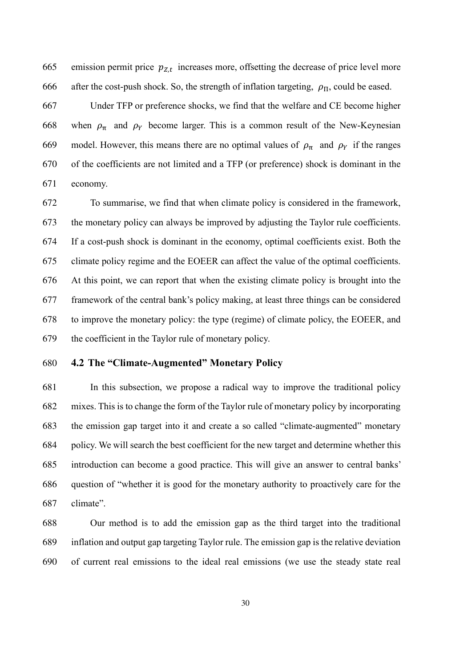665 emission permit price  $p_{Z,t}$  increases more, offsetting the decrease of price level more 666 after the cost-push shock. So, the strength of inflation targeting,  $\rho_{\Pi}$ , could be eased.

Under TFP or preference shocks, we find that the welfare and CE become higher 668 when  $\rho_{\pi}$  and  $\rho_{Y}$  become larger. This is a common result of the New-Keynesian 669 model. However, this means there are no optimal values of  $\rho_{\pi}$  and  $\rho_{\gamma}$  if the ranges of the coefficients are not limited and a TFP (or preference) shock is dominant in the economy.

To summarise, we find that when climate policy is considered in the framework, the monetary policy can always be improved by adjusting the Taylor rule coefficients. If a cost-push shock is dominant in the economy, optimal coefficients exist. Both the climate policy regime and the EOEER can affect the value of the optimal coefficients. At this point, we can report that when the existing climate policy is brought into the framework of the central bank's policy making, at least three things can be considered to improve the monetary policy: the type (regime) of climate policy, the EOEER, and the coefficient in the Taylor rule of monetary policy.

## **4.2 The "Climate-Augmented" Monetary Policy**

In this subsection, we propose a radical way to improve the traditional policy mixes. This is to change the form of the Taylor rule of monetary policy by incorporating the emission gap target into it and create a so called "climate-augmented" monetary policy. We will search the best coefficient for the new target and determine whether this introduction can become a good practice. This will give an answer to central banks' question of "whether it is good for the monetary authority to proactively care for the climate".

Our method is to add the emission gap as the third target into the traditional inflation and output gap targeting Taylor rule. The emission gap is the relative deviation of current real emissions to the ideal real emissions (we use the steady state real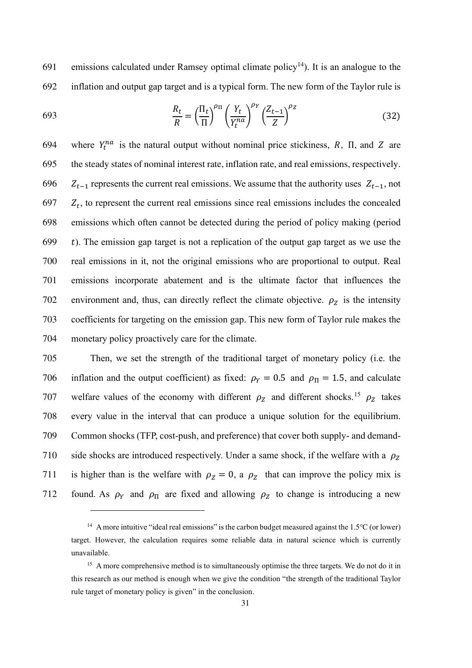691 – emissions calculated under Ramsey optimal climate policy<sup>14</sup>). It is an analogue to the 692 inflation and output gap target and is a typical form. The new form of the Taylor rule is

693 
$$
\frac{R_t}{R} = \left(\frac{\Pi_t}{\Pi}\right)^{\rho_{\Pi}} \left(\frac{Y_t}{Y_t^{na}}\right)^{\rho_Y} \left(\frac{Z_{t-1}}{Z}\right)^{\rho_Z}
$$
(32)

694 where  $Y_t^{na}$  is the natural output without nominal price stickiness, R,  $\Pi$ , and Z are 695 the steady states of nominal interest rate, inflation rate, and real emissions, respectively.  $Z_{t-1}$  represents the current real emissions. We assume that the authority uses  $Z_{t-1}$ , not  $Z_t$ , to represent the current real emissions since real emissions includes the concealed emissions which often cannot be detected during the period of policy making (period t). The emission gap target is not a replication of the output gap target as we use the real emissions in it, not the original emissions who are proportional to output. Real emissions incorporate abatement and is the ultimate factor that influences the 702 environment and, thus, can directly reflect the climate objective.  $\rho_z$  is the intensity coefficients for targeting on the emission gap. This new form of Taylor rule makes the monetary policy proactively care for the climate.

705 Then, we set the strength of the traditional target of monetary policy (i.e. the 706 inflation and the output coefficient) as fixed:  $\rho_Y = 0.5$  and  $\rho_\Pi = 1.5$ , and calculate 707 welfare values of the economy with different  $\rho_z$  and different shocks.<sup>15</sup>  $\rho_z$  takes 708 every value in the interval that can produce a unique solution for the equilibrium. 709 Common shocks (TFP, cost-push, and preference) that cover both supply- and demand-710 side shocks are introduced respectively. Under a same shock, if the welfare with a  $\rho_z$ 711 is higher than is the welfare with  $\rho_z = 0$ , a  $\rho_z$  that can improve the policy mix is 712 found. As  $\rho_Y$  and  $\rho_{\Pi}$  are fixed and allowing  $\rho_Z$  to change is introducing a new

<sup>&</sup>lt;sup>14</sup> A more intuitive "ideal real emissions" is the carbon budget measured against the 1.5℃ (or lower) target. However, the calculation requires some reliable data in natural science which is currently unavailable.

<sup>&</sup>lt;sup>15</sup> A more comprehensive method is to simultaneously optimise the three targets. We do not do it in this research as our method is enough when we give the condition "the strength of the traditional Taylor rule target of monetary policy is given" in the conclusion.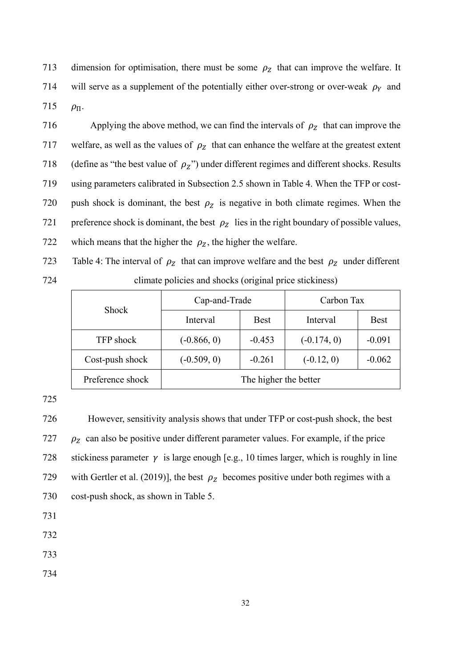713 dimension for optimisation, there must be some  $\rho_z$  that can improve the welfare. It 714 will serve as a supplement of the potentially either over-strong or over-weak  $\rho_Y$  and 715  $\rho_{\Pi}$ .

716 Applying the above method, we can find the intervals of  $\rho_z$  that can improve the 717 welfare, as well as the values of  $\rho_z$  that can enhance the welfare at the greatest extent 718 (define as "the best value of  $\rho_Z$ ") under different regimes and different shocks. Results 719 using parameters calibrated in Subsection 2.5 shown in Table 4. When the TFP or cost-720 push shock is dominant, the best  $\rho_z$  is negative in both climate regimes. When the 721 preference shock is dominant, the best  $\rho_z$  lies in the right boundary of possible values, 722 which means that the higher the  $\rho_z$ , the higher the welfare.

723 Table 4: The interval of  $\rho_z$  that can improve welfare and the best  $\rho_z$  under different 724 climate policies and shocks (original price stickiness)

| <b>Shock</b>     | Cap-and-Trade |                       | Carbon Tax    |             |
|------------------|---------------|-----------------------|---------------|-------------|
|                  | Interval      | <b>Best</b>           | Interval      | <b>Best</b> |
| <b>TFP</b> shock | $(-0.866, 0)$ | $-0.453$              | $(-0.174, 0)$ | $-0.091$    |
| Cost-push shock  | $(-0.509, 0)$ | $-0.261$              | $(-0.12, 0)$  | $-0.062$    |
| Preference shock |               | The higher the better |               |             |

725

726 However, sensitivity analysis shows that under TFP or cost-push shock, the best 727  $\rho_z$  can also be positive under different parameter values. For example, if the price 728 stickiness parameter  $\gamma$  is large enough [e.g., 10 times larger, which is roughly in line 729 with Gertler et al. (2019)], the best  $\rho_z$  becomes positive under both regimes with a 730 cost-push shock, as shown in Table 5.

731

732

733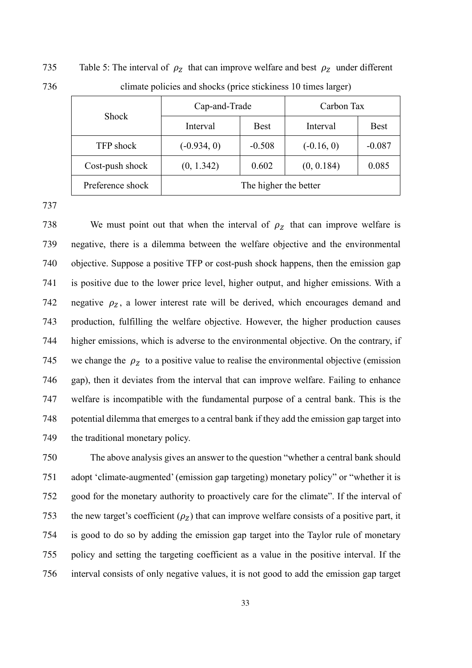735 Table 5: The interval of  $\rho_z$  that can improve welfare and best  $\rho_z$  under different 736 climate policies and shocks (price stickiness 10 times larger)

| <b>Shock</b>     | Cap-and-Trade |                       | Carbon Tax   |             |
|------------------|---------------|-----------------------|--------------|-------------|
|                  | Interval      | <b>Best</b>           | Interval     | <b>Best</b> |
| TFP shock        | $(-0.934, 0)$ | $-0.508$              | $(-0.16, 0)$ | $-0.087$    |
| Cost-push shock  | (0, 1.342)    | 0.602                 | (0, 0.184)   | 0.085       |
| Preference shock |               | The higher the better |              |             |

737

738 We must point out that when the interval of  $\rho_z$  that can improve welfare is negative, there is a dilemma between the welfare objective and the environmental objective. Suppose a positive TFP or cost-push shock happens, then the emission gap is positive due to the lower price level, higher output, and higher emissions. With a 742 negative  $\rho_z$ , a lower interest rate will be derived, which encourages demand and production, fulfilling the welfare objective. However, the higher production causes higher emissions, which is adverse to the environmental objective. On the contrary, if 745 we change the  $\rho_Z$  to a positive value to realise the environmental objective (emission gap), then it deviates from the interval that can improve welfare. Failing to enhance welfare is incompatible with the fundamental purpose of a central bank. This is the potential dilemma that emerges to a central bank if they add the emission gap target into 749 the traditional monetary policy.

The above analysis gives an answer to the question "whether a central bank should adopt 'climate-augmented' (emission gap targeting) monetary policy" or "whether it is good for the monetary authority to proactively care for the climate". If the interval of 753 the new target's coefficient  $(\rho_z)$  that can improve welfare consists of a positive part, it is good to do so by adding the emission gap target into the Taylor rule of monetary policy and setting the targeting coefficient as a value in the positive interval. If the interval consists of only negative values, it is not good to add the emission gap target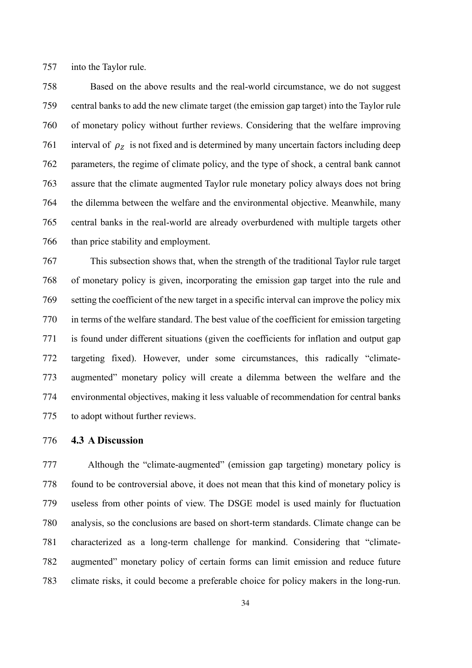into the Taylor rule.

Based on the above results and the real-world circumstance, we do not suggest central banks to add the new climate target (the emission gap target) into the Taylor rule of monetary policy without further reviews. Considering that the welfare improving 761 interval of  $\rho_z$  is not fixed and is determined by many uncertain factors including deep parameters, the regime of climate policy, and the type of shock, a central bank cannot assure that the climate augmented Taylor rule monetary policy always does not bring the dilemma between the welfare and the environmental objective. Meanwhile, many central banks in the real-world are already overburdened with multiple targets other than price stability and employment.

This subsection shows that, when the strength of the traditional Taylor rule target of monetary policy is given, incorporating the emission gap target into the rule and setting the coefficient of the new target in a specific interval can improve the policy mix in terms of the welfare standard. The best value of the coefficient for emission targeting is found under different situations (given the coefficients for inflation and output gap targeting fixed). However, under some circumstances, this radically "climate-augmented" monetary policy will create a dilemma between the welfare and the environmental objectives, making it less valuable of recommendation for central banks to adopt without further reviews.

#### **4.3 A Discussion**

Although the "climate-augmented" (emission gap targeting) monetary policy is found to be controversial above, it does not mean that this kind of monetary policy is useless from other points of view. The DSGE model is used mainly for fluctuation analysis, so the conclusions are based on short-term standards. Climate change can be 781 characterized as a long-term challenge for mankind. Considering that "climate-augmented" monetary policy of certain forms can limit emission and reduce future climate risks, it could become a preferable choice for policy makers in the long-run.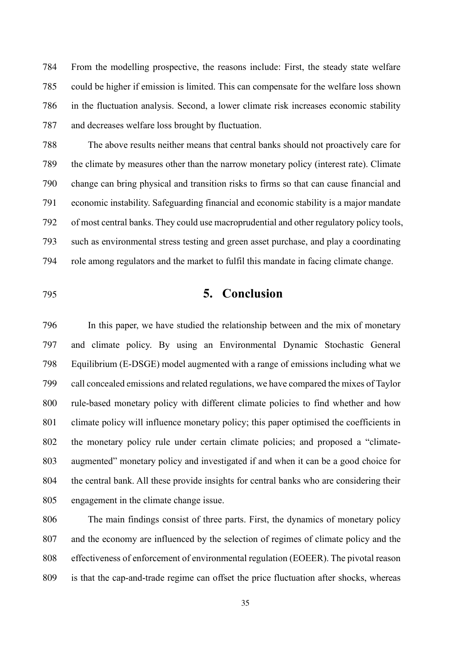From the modelling prospective, the reasons include: First, the steady state welfare could be higher if emission is limited. This can compensate for the welfare loss shown in the fluctuation analysis. Second, a lower climate risk increases economic stability and decreases welfare loss brought by fluctuation.

The above results neither means that central banks should not proactively care for the climate by measures other than the narrow monetary policy (interest rate). Climate change can bring physical and transition risks to firms so that can cause financial and economic instability. Safeguarding financial and economic stability is a major mandate of most central banks. They could use macroprudential and other regulatory policy tools, such as environmental stress testing and green asset purchase, and play a coordinating role among regulators and the market to fulfil this mandate in facing climate change.

## **5. Conclusion**

In this paper, we have studied the relationship between and the mix of monetary and climate policy. By using an Environmental Dynamic Stochastic General Equilibrium (E-DSGE) model augmented with a range of emissions including what we 799 call concealed emissions and related regulations, we have compared the mixes of Taylor rule-based monetary policy with different climate policies to find whether and how 801 climate policy will influence monetary policy; this paper optimised the coefficients in the monetary policy rule under certain climate policies; and proposed a "climate-augmented" monetary policy and investigated if and when it can be a good choice for the central bank. All these provide insights for central banks who are considering their engagement in the climate change issue.

The main findings consist of three parts. First, the dynamics of monetary policy and the economy are influenced by the selection of regimes of climate policy and the effectiveness of enforcement of environmental regulation (EOEER). The pivotal reason is that the cap-and-trade regime can offset the price fluctuation after shocks, whereas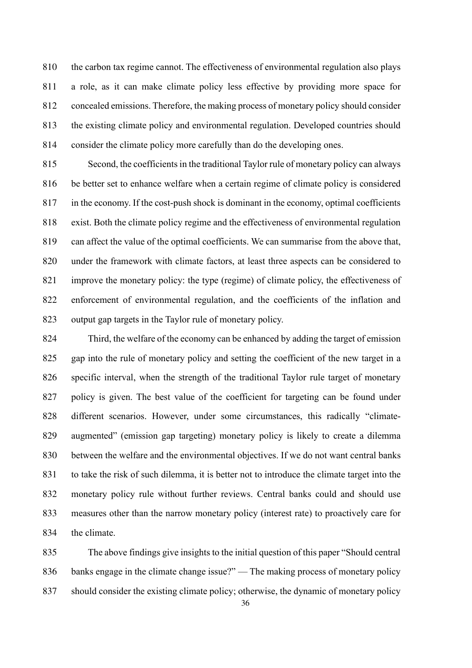the carbon tax regime cannot. The effectiveness of environmental regulation also plays a role, as it can make climate policy less effective by providing more space for concealed emissions. Therefore, the making process of monetary policy should consider the existing climate policy and environmental regulation. Developed countries should consider the climate policy more carefully than do the developing ones.

Second, the coefficients in the traditional Taylor rule of monetary policy can always be better set to enhance welfare when a certain regime of climate policy is considered in the economy. If the cost-push shock is dominant in the economy, optimal coefficients exist. Both the climate policy regime and the effectiveness of environmental regulation can affect the value of the optimal coefficients. We can summarise from the above that, under the framework with climate factors, at least three aspects can be considered to improve the monetary policy: the type (regime) of climate policy, the effectiveness of enforcement of environmental regulation, and the coefficients of the inflation and output gap targets in the Taylor rule of monetary policy.

Third, the welfare of the economy can be enhanced by adding the target of emission gap into the rule of monetary policy and setting the coefficient of the new target in a specific interval, when the strength of the traditional Taylor rule target of monetary policy is given. The best value of the coefficient for targeting can be found under different scenarios. However, under some circumstances, this radically "climate-augmented" (emission gap targeting) monetary policy is likely to create a dilemma between the welfare and the environmental objectives. If we do not want central banks to take the risk of such dilemma, it is better not to introduce the climate target into the monetary policy rule without further reviews. Central banks could and should use measures other than the narrow monetary policy (interest rate) to proactively care for the climate.

The above findings give insights to the initial question of this paper "Should central banks engage in the climate change issue?" — The making process of monetary policy should consider the existing climate policy; otherwise, the dynamic of monetary policy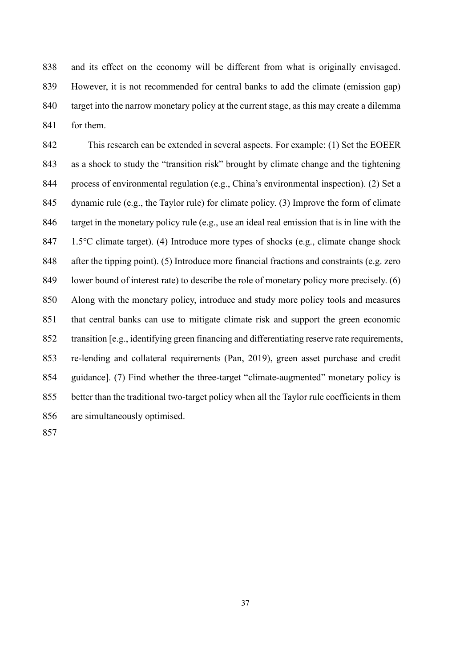and its effect on the economy will be different from what is originally envisaged. However, it is not recommended for central banks to add the climate (emission gap) target into the narrow monetary policy at the current stage, as this may create a dilemma for them.

This research can be extended in several aspects. For example: (1) Set the EOEER as a shock to study the "transition risk" brought by climate change and the tightening process of environmental regulation (e.g., China's environmental inspection). (2) Set a dynamic rule (e.g., the Taylor rule) for climate policy. (3) Improve the form of climate target in the monetary policy rule (e.g., use an ideal real emission that is in line with the 847 1.5 °C climate target). (4) Introduce more types of shocks (e.g., climate change shock after the tipping point). (5) Introduce more financial fractions and constraints (e.g. zero lower bound of interest rate) to describe the role of monetary policy more precisely. (6) Along with the monetary policy, introduce and study more policy tools and measures that central banks can use to mitigate climate risk and support the green economic transition [e.g., identifying green financing and differentiating reserve rate requirements, re-lending and collateral requirements (Pan, 2019), green asset purchase and credit guidance]. (7) Find whether the three-target "climate-augmented" monetary policy is better than the traditional two-target policy when all the Taylor rule coefficients in them are simultaneously optimised.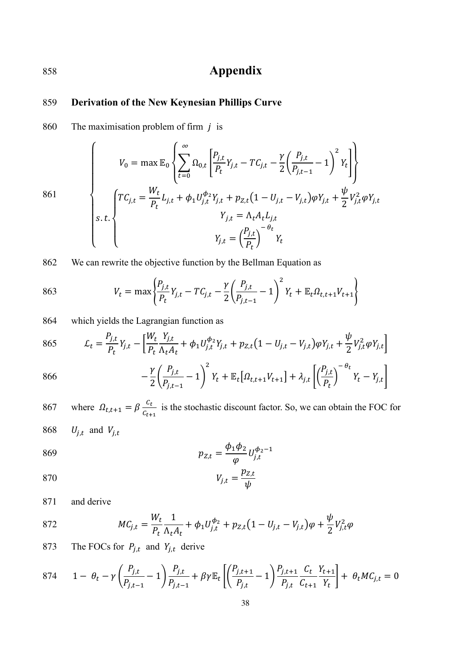# 858 **Appendix**

## 859 **Derivation of the New Keynesian Phillips Curve**

860 The maximisation problem of firm  $j$  is

$$
861
$$
\n
$$
861
$$
\n
$$
\begin{cases}\nV_0 = \max \mathbb{E}_0 \left\{ \sum_{t=0}^{\infty} \Omega_{0,t} \left[ \frac{P_{j,t}}{P_t} Y_{j,t} - T C_{j,t} - \frac{\gamma}{2} \left( \frac{P_{j,t}}{P_{j,t-1}} - 1 \right)^2 Y_t \right] \right\} \\
S.t. \left\{ T C_{j,t} = \frac{W_t}{P_t} L_{j,t} + \phi_1 U_{j,t}^{\phi_2} Y_{j,t} + p_{Z,t} (1 - U_{j,t} - V_{j,t}) \varphi Y_{j,t} + \frac{\psi}{2} V_{j,t}^2 \varphi Y_{j,t} \right\} \\
Y_{j,t} = \Lambda_t A_t L_{j,t} \\
Y_{j,t} = \left( \frac{P_{j,t}}{P_t} \right)^{-\theta_t} Y_t\n\end{cases}
$$

862 We can rewrite the objective function by the Bellman Equation as

863 
$$
V_t = \max \left\{ \frac{P_{j,t}}{P_t} Y_{j,t} - T C_{j,t} - \frac{\gamma}{2} \left( \frac{P_{j,t}}{P_{j,t-1}} - 1 \right)^2 Y_t + \mathbb{E}_t \Omega_{t,t+1} V_{t+1} \right\}
$$

864 which yields the Lagrangian function as

865 
$$
\mathcal{L}_{t} = \frac{P_{j,t}}{P_{t}} Y_{j,t} - \left[ \frac{W_{t}}{P_{t}} \frac{Y_{j,t}}{\Lambda_{t} A_{t}} + \phi_{1} U_{j,t}^{\phi_{2}} Y_{j,t} + p_{Z,t} (1 - U_{j,t} - V_{j,t}) \varphi Y_{j,t} + \frac{\psi}{2} V_{j,t}^{2} \varphi Y_{j,t} \right]
$$

866 
$$
- \frac{\gamma}{2} \left( \frac{P_{j,t}}{P_{j,t-1}} - 1 \right)^2 Y_t + \mathbb{E}_t \left[ \Omega_{t,t+1} V_{t+1} \right] + \lambda_{j,t} \left[ \left( \frac{P_{j,t}}{P_t} \right)^{-\theta_t} Y_t - Y_{j,t} \right]
$$

867 where  $\Omega_{t,t+1} = \beta \frac{c_t}{c_{t+1}}$  is the stochastic discount factor. So, we can obtain the FOC for 868  $U_{j,t}$  and  $V_{j,t}$ 

869 
$$
p_{Z,t} = \frac{\phi_1 \phi_2}{\varphi} U_{j,t}^{\phi_2 - 1}
$$

$$
V_{j,t} = \frac{p_{Z,t}}{\psi}
$$

871 and derive

872 
$$
MC_{j,t} = \frac{W_t}{P_t} \frac{1}{\Lambda_t A_t} + \phi_1 U_{j,t}^{\phi_2} + p_{Z,t} (1 - U_{j,t} - V_{j,t}) \varphi + \frac{\psi}{2} V_{j,t}^2 \varphi
$$

873 The FOCs for  $P_{j,t}$  and  $Y_{j,t}$  derive

874 
$$
1 - \theta_t - \gamma \left( \frac{P_{j,t}}{P_{j,t-1}} - 1 \right) \frac{P_{j,t}}{P_{j,t-1}} + \beta \gamma \mathbb{E}_t \left[ \left( \frac{P_{j,t+1}}{P_{j,t}} - 1 \right) \frac{P_{j,t+1}}{P_{j,t}} \frac{C_t}{C_{t+1}} \frac{Y_{t+1}}{Y_t} \right] + \theta_t M C_{j,t} = 0
$$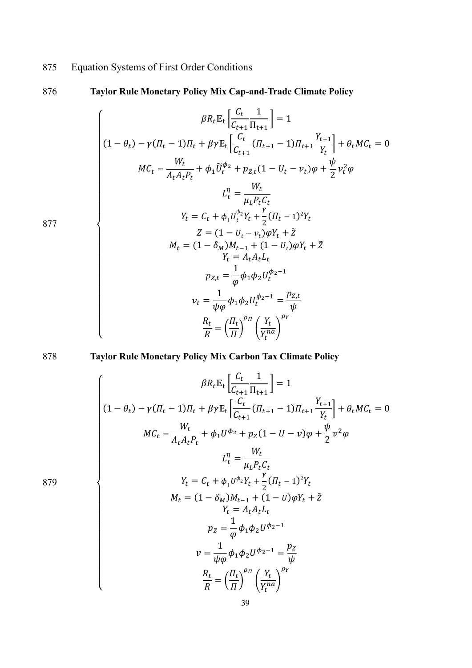875 Equation Systems of First Order Conditions

## 876 **Taylor Rule Monetary Policy Mix Cap-and-Trade Climate Policy**

$$
\beta R_t \mathbb{E}_t \left[ \frac{C_t}{C_{t+1}} \frac{1}{\Pi_{t+1}} \right] = 1
$$
\n
$$
(1 - \theta_t) - \gamma (\Pi_t - 1) \Pi_t + \beta \gamma \mathbb{E}_t \left[ \frac{C_t}{C_{t+1}} (\Pi_{t+1} - 1) \Pi_{t+1} \frac{Y_{t+1}}{Y_t} \right] + \theta_t M C_t = 0
$$
\n
$$
M C_t = \frac{W_t}{\Lambda_t A_t P_t} + \phi_1 \tilde{U}_t^{\phi_2} + p_{Z,t} (1 - U_t - v_t) \varphi + \frac{\psi}{2} v_t^2 \varphi
$$
\n
$$
L_t^{\eta} = \frac{W_t}{\mu_L P_t C_t}
$$
\n
$$
Y_t = C_t + \phi_1 U_t^{\phi_2} Y_t + \frac{\gamma}{2} (\Pi_t - 1)^2 Y_t
$$
\n
$$
Z = (1 - U_t - v_t) \varphi Y_t + \tilde{Z}
$$
\n
$$
Z = (1 - U_t - v_t) \varphi Y_t + \tilde{Z}
$$
\n
$$
Y_t = \Lambda_t A_t L_t
$$
\n
$$
p_{Z,t} = \frac{1}{\varphi} \phi_1 \phi_2 U_t^{\phi_2 - 1}
$$
\n
$$
v_t = \frac{1}{\psi \varphi} \phi_1 \phi_2 U_t^{\phi_2 - 1} = \frac{p_{Z,t}}{\psi}
$$
\n
$$
\frac{R_t}{R} = \left( \frac{\Pi_t}{\Pi} \right)^{\rho \eta} \left( \frac{Y_t}{Y_t^{\eta a}} \right)^{\rho Y}
$$

877

878 **Taylor Rule Monetary Policy Mix Carbon Tax Climate Policy**

$$
\beta R_t \mathbb{E}_t \left[ \frac{C_t}{C_{t+1}} \frac{1}{\Pi_{t+1}} \right] = 1
$$
  
\n
$$
(1 - \theta_t) - \gamma (\Pi_t - 1) \Pi_t + \beta \gamma \mathbb{E}_t \left[ \frac{C_t}{C_{t+1}} (\Pi_{t+1} - 1) \Pi_{t+1} \frac{Y_{t+1}}{Y_t} \right] + \theta_t M C_t = 0
$$
  
\n
$$
M C_t = \frac{W_t}{\Lambda_t A_t P_t} + \phi_1 U^{\phi_2} + p_Z (1 - U - v) \varphi + \frac{\psi}{2} v^2 \varphi
$$
  
\n
$$
L_t^{\eta} = \frac{W_t}{\mu_L P_t C_t}
$$
  
\n
$$
Y_t = C_t + \phi_1 U^{\phi_2} Y_t + \frac{\gamma}{2} (\Pi_t - 1)^2 Y_t
$$
  
\n
$$
M_t = (1 - \delta_M) M_{t-1} + (1 - U) \varphi Y_t + \tilde{Z}
$$
  
\n
$$
Y_t = A_t A_t L_t
$$
  
\n
$$
p_Z = \frac{1}{\varphi} \phi_1 \phi_2 U^{\phi_2 - 1}
$$
  
\n
$$
v = \frac{1}{\psi \varphi} \phi_1 \phi_2 U^{\phi_2 - 1} = \frac{p_Z}{\psi}
$$
  
\n
$$
\frac{R_t}{R} = \left( \frac{\Pi_t}{\Pi} \right)^{\rho \eta} \left( \frac{Y_t}{Y_t^{na}} \right)^{\rho \gamma}
$$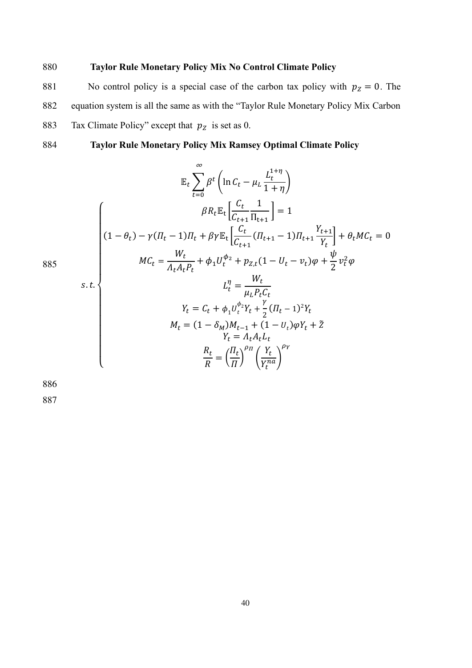## 880 **Taylor Rule Monetary Policy Mix No Control Climate Policy**

881 No control policy is a special case of the carbon tax policy with  $p_z = 0$ . The 882 equation system is all the same as with the "Taylor Rule Monetary Policy Mix Carbon 883 Tax Climate Policy" except that  $p_z$  is set as 0.

884 **Taylor Rule Monetary Policy Mix Ramsey Optimal Climate Policy**

$$
\mathbb{E}_{t} \sum_{t=0}^{\infty} \beta^{t} \left( \ln C_{t} - \mu_{L} \frac{L_{t}^{1+\eta}}{1+\eta} \right)
$$
\n
$$
\beta R_{t} \mathbb{E}_{t} \left[ \frac{C_{t}}{C_{t+1}} \frac{1}{\Pi_{t+1}} \right] = 1
$$
\n
$$
(1 - \theta_{t}) - \gamma (T_{t} - 1)T_{t} + \beta \gamma \mathbb{E}_{t} \left[ \frac{C_{t}}{C_{t+1}} (T_{t+1} - 1)T_{t+1} \frac{Y_{t+1}}{Y_{t}} \right] + \theta_{t}MC_{t} = 0
$$
\n
$$
MC_{t} = \frac{W_{t}}{\Lambda_{t}A_{t}P_{t}} + \phi_{1}U_{t}^{\phi_{2}} + p_{Z,t}(1 - U_{t} - v_{t})\varphi + \frac{\psi}{2}v_{t}^{2}\varphi
$$
\n
$$
L_{t}^{\eta} = \frac{W_{t}}{\mu_{L}P_{t}C_{t}}
$$
\n
$$
Y_{t} = C_{t} + \phi_{1}U_{t}^{\phi_{2}}Y_{t} + \frac{\gamma}{2}(T_{t} - 1)^{2}Y_{t}
$$
\n
$$
M_{t} = (1 - \delta_{M})M_{t-1} + (1 - U_{t})\varphi Y_{t} + \tilde{Z}
$$
\n
$$
Y_{t} = \Lambda_{t}A_{t}L_{t}
$$

 $\frac{R_t}{\sqrt{2}}$  $\boldsymbol{R}$ 

= (  $\frac{II_t}{I}$  $\iota$ )  $\rho_{\Pi}$ (  $Y_t$  $\overline{Y_t^{na}}$ 

 $\rho_Y$ 

886

 $\overline{\phantom{a}}$  $\mathbf{I}$  $\mathbf{I}$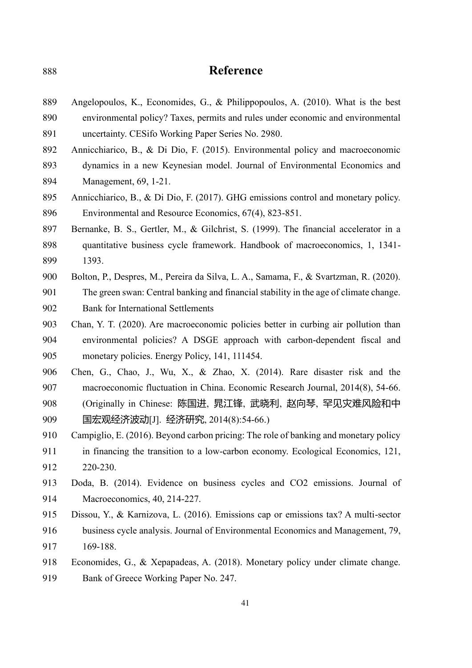# **Reference**

| 889 | Angelopoulos, K., Economides, G., & Philippopoulos, A. (2010). What is the best       |
|-----|---------------------------------------------------------------------------------------|
| 890 | environmental policy? Taxes, permits and rules under economic and environmental       |
| 891 | uncertainty. CESifo Working Paper Series No. 2980.                                    |
| 892 | Annicchiarico, B., & Di Dio, F. (2015). Environmental policy and macroeconomic        |
| 893 | dynamics in a new Keynesian model. Journal of Environmental Economics and             |
| 894 | Management, 69, 1-21.                                                                 |
| 895 | Annicchiarico, B., & Di Dio, F. (2017). GHG emissions control and monetary policy.    |
| 896 | Environmental and Resource Economics, 67(4), 823-851.                                 |
| 897 | Bernanke, B. S., Gertler, M., & Gilchrist, S. (1999). The financial accelerator in a  |
| 898 | quantitative business cycle framework. Handbook of macroeconomics, 1, 1341-           |
| 899 | 1393.                                                                                 |
| 900 | Bolton, P., Despres, M., Pereira da Silva, L. A., Samama, F., & Svartzman, R. (2020). |
| 901 | The green swan: Central banking and financial stability in the age of climate change. |
| 902 | <b>Bank for International Settlements</b>                                             |
| 903 | Chan, Y. T. (2020). Are macroeconomic policies better in curbing air pollution than   |
| 904 | environmental policies? A DSGE approach with carbon-dependent fiscal and              |
| 905 | monetary policies. Energy Policy, 141, 111454.                                        |
| 906 | Chen, G., Chao, J., Wu, X., & Zhao, X. (2014). Rare disaster risk and the             |
| 907 | macroeconomic fluctuation in China. Economic Research Journal, 2014(8), 54-66.        |
| 908 | (Originally in Chinese: 陈国进, 晁江锋, 武晓利, 赵向琴, 罕见灾难风险和中                                  |
| 909 | 国宏观经济波动[J]. 经济研究, 2014(8):54-66.)                                                     |
| 910 | Campiglio, E. (2016). Beyond carbon pricing: The role of banking and monetary policy  |
| 911 | in financing the transition to a low-carbon economy. Ecological Economics, 121,       |
| 912 | 220-230.                                                                              |
| 913 | Doda, B. (2014). Evidence on business cycles and CO2 emissions. Journal of            |
| 914 | Macroeconomics, 40, 214-227.                                                          |
| 915 | Dissou, Y., & Karnizova, L. (2016). Emissions cap or emissions tax? A multi-sector    |
| 916 | business cycle analysis. Journal of Environmental Economics and Management, 79,       |
| 917 | 169-188.                                                                              |
| 918 | Economides, G., & Xepapadeas, A. (2018). Monetary policy under climate change.        |
| 919 | Bank of Greece Working Paper No. 247.                                                 |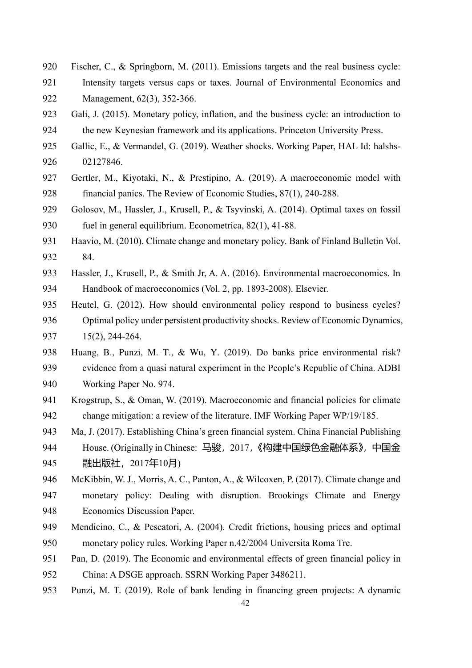- Fischer, C., & Springborn, M. (2011). Emissions targets and the real business cycle:
- Intensity targets versus caps or taxes. Journal of Environmental Economics and Management, 62(3), 352-366.
- Gali, J. (2015). Monetary policy, inflation, and the business cycle: an introduction to the new Keynesian framework and its applications. Princeton University Press.
- Gallic, E., & Vermandel, G. (2019). Weather shocks. Working Paper, HAL Id: halshs-02127846.
- 927 Gertler, M., Kiyotaki, N., & Prestipino, A. (2019). A macroeconomic model with financial panics. The Review of Economic Studies, 87(1), 240-288.
- Golosov, M., Hassler, J., Krusell, P., & Tsyvinski, A. (2014). Optimal taxes on fossil fuel in general equilibrium. Econometrica, 82(1), 41-88.
- Haavio, M. (2010). Climate change and monetary policy. Bank of Finland Bulletin Vol. 84.
- Hassler, J., Krusell, P., & Smith Jr, A. A. (2016). Environmental macroeconomics. In Handbook of macroeconomics (Vol. 2, pp. 1893-2008). Elsevier.
- Heutel, G. (2012). How should environmental policy respond to business cycles? Optimal policy under persistent productivity shocks. Review of Economic Dynamics, 15(2), 244-264.
- 938 Huang, B., Punzi, M. T., & Wu, Y. (2019). Do banks price environmental risk? evidence from a quasi natural experiment in the People's Republic of China. ADBI Working Paper No. 974.
- Krogstrup, S., & Oman, W. (2019). Macroeconomic and financial policies for climate change mitigation: a review of the literature. IMF Working Paper WP/19/185.
- Ma, J. (2017). Establishing China's green financial system. China Financial Publishing 944 House. (Originally in Chinese: 马骏, 2017,《构建中国绿色金融体系》,中国金 融出版社,2017年10月)
- McKibbin, W. J., Morris, A. C., Panton, A., & Wilcoxen, P. (2017). Climate change and monetary policy: Dealing with disruption. Brookings Climate and Energy Economics Discussion Paper.
- Mendicino, C., & Pescatori, A. (2004). Credit frictions, housing prices and optimal monetary policy rules. Working Paper n.42/2004 Universita Roma Tre.
- Pan, D. (2019). The Economic and environmental effects of green financial policy in China: A DSGE approach. SSRN Working Paper 3486211.
- Punzi, M. T. (2019). Role of bank lending in financing green projects: A dynamic